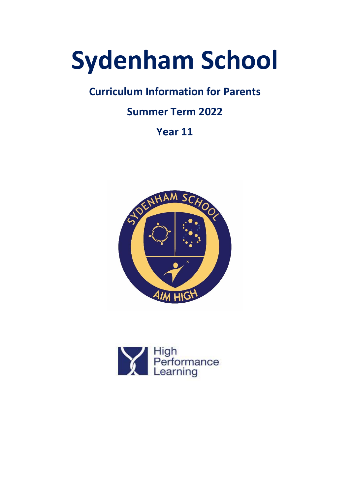# **Sydenham School**

# **Curriculum Information for Parents**

# **Summer Term 2022**

# **Year 11**



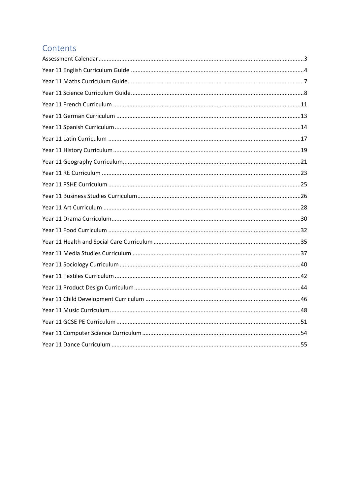## Contents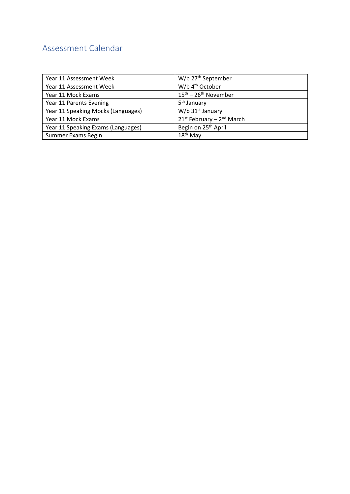## <span id="page-2-0"></span>Assessment Calendar

| Year 11 Assessment Week            | W/b 27 <sup>th</sup> September             |
|------------------------------------|--------------------------------------------|
| Year 11 Assessment Week            | W/b 4 <sup>th</sup> October                |
| Year 11 Mock Exams                 | $15^{\text{th}} - 26^{\text{th}}$ November |
| Year 11 Parents Evening            | 5 <sup>th</sup> January                    |
| Year 11 Speaking Mocks (Languages) | $W/b$ 31st January                         |
| Year 11 Mock Exams                 | $21^{st}$ February – $2^{nd}$ March        |
| Year 11 Speaking Exams (Languages) | Begin on 25 <sup>th</sup> April            |
| Summer Exams Begin                 | $18th$ May                                 |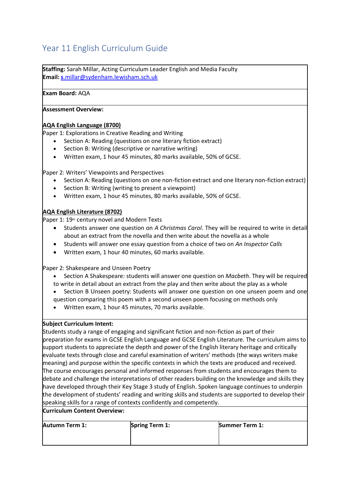## <span id="page-3-0"></span>Year 11 English Curriculum Guide

**Staffing:** Sarah Millar, Acting Curriculum Leader English and Media Faculty **Email: s**[.millar@sydenham.lewisham.sch.uk](mailto:s.millar@sydenham.lewisham.sch.uk)

#### **Exam Board:** AQA

#### **Assessment Overview:**

#### **AQA English Language (8700)**

Paper 1: Explorations in Creative Reading and Writing

- Section A: Reading (questions on one literary fiction extract)
- Section B: Writing (descriptive or narrative writing)
- Written exam, 1 hour 45 minutes, 80 marks available, 50% of GCSE.

Paper 2: Writers' Viewpoints and Perspectives

- Section A: Reading (questions on one non-fiction extract and one literary non-fiction extract)
- Section B: Writing (writing to present a viewpoint)
- Written exam, 1 hour 45 minutes, 80 marks available, 50% of GCSE.

#### **AQA English Literature (8702)**

Paper 1: 19<sup>th</sup> century novel and Modern Texts

- Students answer one question on *A Christmas Carol*. They will be required to write in detail about an extract from the novella and then write about the novella as a whole
- Students will answer one essay question from a choice of two on *An Inspector Calls*
- Written exam, 1 hour 40 minutes, 60 marks available.

Paper 2: Shakespeare and Unseen Poetry

- Section A Shakespeare: students will answer one question on *Macbeth*. They will be required to write in detail about an extract from the play and then write about the play as a whole
- Section B Unseen poetry: Students will answer one question on one unseen poem and one question comparing this poem with a second unseen poem focusing on methods only
- Written exam, 1 hour 45 minutes, 70 marks available.

#### **Subject Curriculum Intent:**

Students study a range of engaging and significant fiction and non-fiction as part of their preparation for exams in GCSE English Language and GCSE English Literature. The curriculum aims to support students to appreciate the depth and power of the English literary heritage and critically evaluate texts through close and careful examination of writers' methods (the ways writers make meaning) and purpose within the specific contexts in which the texts are produced and received. The course encourages personal and informed responses from students and encourages them to debate and challenge the interpretations of other readers building on the knowledge and skills they have developed through their Key Stage 3 study of English. Spoken language continues to underpin the development of students' reading and writing skills and students are supported to develop their speaking skills for a range of contexts confidently and competently.

#### **Curriculum Content Overview:**

**Autumn Term 1: Spring Term 1: Summer Term 1:**

| Spring T |  |  |
|----------|--|--|
|          |  |  |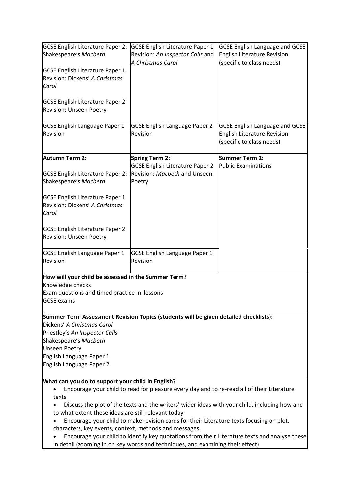| <b>GCSE English Literature Paper 2:</b><br>Shakespeare's Macbeth                                                                                                                                                                         | <b>GCSE English Literature Paper 1</b><br>Revision: An Inspector Calls and<br>A Christmas Carol                                                                                                                                                  | <b>GCSE English Language and GCSE</b><br>English Literature Revision<br>(specific to class needs)        |  |  |
|------------------------------------------------------------------------------------------------------------------------------------------------------------------------------------------------------------------------------------------|--------------------------------------------------------------------------------------------------------------------------------------------------------------------------------------------------------------------------------------------------|----------------------------------------------------------------------------------------------------------|--|--|
| <b>GCSE English Literature Paper 1</b><br>Revision: Dickens' A Christmas<br>Carol                                                                                                                                                        |                                                                                                                                                                                                                                                  |                                                                                                          |  |  |
| <b>GCSE English Literature Paper 2</b><br>Revision: Unseen Poetry                                                                                                                                                                        |                                                                                                                                                                                                                                                  |                                                                                                          |  |  |
| <b>GCSE English Language Paper 1</b><br>Revision                                                                                                                                                                                         | <b>GCSE English Language Paper 2</b><br>Revision                                                                                                                                                                                                 | <b>GCSE English Language and GCSE</b><br><b>English Literature Revision</b><br>(specific to class needs) |  |  |
| <b>Autumn Term 2:</b>                                                                                                                                                                                                                    | <b>Spring Term 2:</b>                                                                                                                                                                                                                            | Summer Term 2:                                                                                           |  |  |
| <b>GCSE English Literature Paper 2:</b><br>Shakespeare's Macbeth                                                                                                                                                                         | <b>GCSE English Literature Paper 2</b><br>Revision: Macbeth and Unseen<br>Poetry                                                                                                                                                                 | <b>Public Examinations</b>                                                                               |  |  |
| <b>GCSE English Literature Paper 1</b><br>Revision: Dickens' A Christmas<br>Carol                                                                                                                                                        |                                                                                                                                                                                                                                                  |                                                                                                          |  |  |
| <b>GCSE English Literature Paper 2</b><br>Revision: Unseen Poetry                                                                                                                                                                        |                                                                                                                                                                                                                                                  |                                                                                                          |  |  |
| <b>GCSE English Language Paper 1</b><br>Revision                                                                                                                                                                                         | <b>GCSE English Language Paper 1</b><br>Revision                                                                                                                                                                                                 |                                                                                                          |  |  |
| How will your child be assessed in the Summer Term?                                                                                                                                                                                      |                                                                                                                                                                                                                                                  |                                                                                                          |  |  |
| Knowledge checks<br>Exam questions and timed practice in lessons<br><b>GCSE</b> exams                                                                                                                                                    |                                                                                                                                                                                                                                                  |                                                                                                          |  |  |
|                                                                                                                                                                                                                                          | Summer Term Assessment Revision Topics (students will be given detailed checklists):                                                                                                                                                             |                                                                                                          |  |  |
| Dickens' A Christmas Carol                                                                                                                                                                                                               |                                                                                                                                                                                                                                                  |                                                                                                          |  |  |
| Priestley's An Inspector Calls<br>Shakespeare's Macbeth                                                                                                                                                                                  |                                                                                                                                                                                                                                                  |                                                                                                          |  |  |
| <b>Unseen Poetry</b>                                                                                                                                                                                                                     |                                                                                                                                                                                                                                                  |                                                                                                          |  |  |
| English Language Paper 1<br>English Language Paper 2                                                                                                                                                                                     |                                                                                                                                                                                                                                                  |                                                                                                          |  |  |
| What can you do to support your child in English?<br>Encourage your child to read for pleasure every day and to re-read all of their Literature<br>$\bullet$<br>texts                                                                    |                                                                                                                                                                                                                                                  |                                                                                                          |  |  |
|                                                                                                                                                                                                                                          | Discuss the plot of the texts and the writers' wider ideas with your child, including how and<br>to what extent these ideas are still relevant today<br>Encourage your child to make revision cards for their Literature texts focusing on plot, |                                                                                                          |  |  |
| characters, key events, context, methods and messages<br>Encourage your child to identify key quotations from their Literature texts and analyse these<br>in detail (zooming in on key words and techniques, and examining their effect) |                                                                                                                                                                                                                                                  |                                                                                                          |  |  |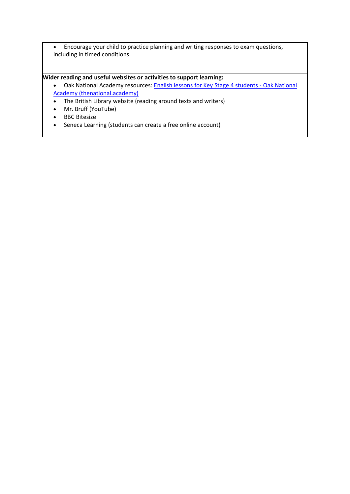• Encourage your child to practice planning and writing responses to exam questions, including in timed conditions

#### **Wider reading and useful websites or activities to support learning:**

- Oak National Academy resources: [English lessons for Key Stage 4 students -](https://classroom.thenational.academy/subjects-by-key-stage/key-stage-4/subjects/english) Oak National [Academy \(thenational.academy\)](https://classroom.thenational.academy/subjects-by-key-stage/key-stage-4/subjects/english)
- The British Library website (reading around texts and writers)
- Mr. Bruff (YouTube)
- BBC Bitesize
- Seneca Learning (students can create a free online account)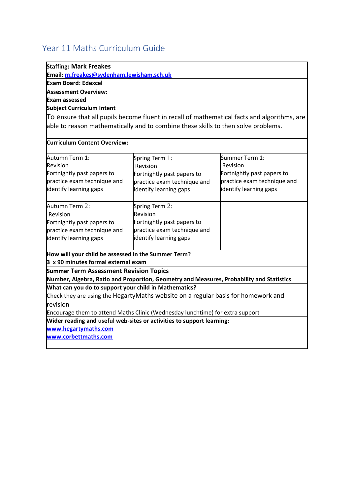## <span id="page-6-0"></span>Year 11 Maths Curriculum Guide

| <b>Staffing: Mark Freakes</b>                                                     |                                                                                             |                             |  |  |
|-----------------------------------------------------------------------------------|---------------------------------------------------------------------------------------------|-----------------------------|--|--|
| Email: m.freakes@sydenham.lewisham.sch.uk                                         |                                                                                             |                             |  |  |
| <b>Exam Board: Edexcel</b>                                                        |                                                                                             |                             |  |  |
| <b>Assessment Overview:</b>                                                       |                                                                                             |                             |  |  |
| Exam assessed                                                                     |                                                                                             |                             |  |  |
| Subject Curriculum Intent                                                         |                                                                                             |                             |  |  |
|                                                                                   | To ensure that all pupils become fluent in recall of mathematical facts and algorithms, are |                             |  |  |
|                                                                                   | able to reason mathematically and to combine these skills to then solve problems.           |                             |  |  |
| <b>Curriculum Content Overview:</b>                                               |                                                                                             |                             |  |  |
| Autumn Term 1:                                                                    | Spring Term 1:                                                                              | Summer Term 1:              |  |  |
| Revision                                                                          | Revision                                                                                    | Revision                    |  |  |
| Fortnightly past papers to                                                        | Fortnightly past papers to                                                                  | Fortnightly past papers to  |  |  |
| practice exam technique and                                                       | practice exam technique and                                                                 | practice exam technique and |  |  |
| identify learning gaps                                                            | identify learning gaps                                                                      | identify learning gaps      |  |  |
| Autumn Term 2:                                                                    | Spring Term 2:                                                                              |                             |  |  |
| Revision                                                                          | Revision                                                                                    |                             |  |  |
| Fortnightly past papers to                                                        | Fortnightly past papers to                                                                  |                             |  |  |
| practice exam technique and                                                       | practice exam technique and                                                                 |                             |  |  |
| identify learning gaps                                                            | identify learning gaps                                                                      |                             |  |  |
| How will your child be assessed in the Summer Term?                               |                                                                                             |                             |  |  |
| 3 x 90 minutes formal external exam                                               |                                                                                             |                             |  |  |
| <b>Summer Term Assessment Revision Topics</b>                                     |                                                                                             |                             |  |  |
|                                                                                   | Number, Algebra, Ratio and Proportion, Geometry and Measures, Probability and Statistics    |                             |  |  |
| What can you do to support your child in Mathematics?                             |                                                                                             |                             |  |  |
| Check they are using the HegartyMaths website on a regular basis for homework and |                                                                                             |                             |  |  |
| revision                                                                          |                                                                                             |                             |  |  |
|                                                                                   | Encourage them to attend Maths Clinic (Wednesday lunchtime) for extra support               |                             |  |  |
|                                                                                   | Wider reading and useful web-sites or activities to support learning:                       |                             |  |  |
| www.hegartymaths.com                                                              |                                                                                             |                             |  |  |
| www.corbettmaths.com                                                              |                                                                                             |                             |  |  |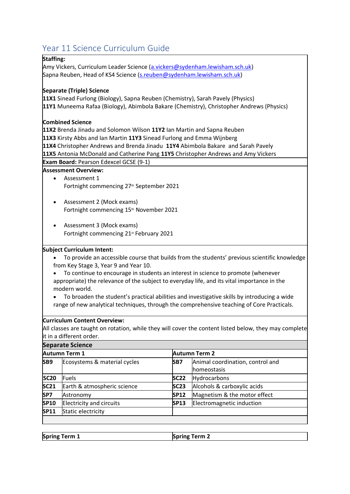## <span id="page-7-0"></span>Year 11 Science Curriculum Guide

#### **Staffing:**

Amy Vickers, Curriculum Leader Science [\(a.vickers@sydenham.lewisham.sch.uk\)](mailto:a.vickers@sydenham.lewisham.sch.uk) Sapna Reuben, Head of KS4 Science [\(s.reuben@sydenham.lewisham.sch.uk\)](mailto:s.reuben@sydenham.lewisham.sch.uk)

#### **Separate (Triple) Science**

**11X1** Sinead Furlong (Biology), Sapna Reuben (Chemistry), Sarah Pavely (Physics) **11Y1** Muneema Rafaa (Biology), Abimbola Bakare (Chemistry), Christopher Andrews (Physics)

#### **Combined Science**

**11X2** Brenda Jinadu and Solomon Wilson **11Y2** Ian Martin and Sapna Reuben **11X3** Kirsty Abbs and Ian Martin **11Y3** Sinead Furlong and Emma Wijnberg **11X4** Christopher Andrews and Brenda Jinadu **11Y4** Abimbola Bakare and Sarah Pavely **11X5** Antonia McDonald and Catherine Pang **11Y5** Christopher Andrews and Amy Vickers

**Exam Board:** Pearson Edexcel GCSE (9-1)

#### **Assessment Overview:**

- Assessment 1 Fortnight commencing 27<sup>th</sup> September 2021
- Assessment 2 (Mock exams) Fortnight commencing 15th November 2021
- Assessment 3 (Mock exams) Fortnight commencing 21st February 2021

#### **Subject Curriculum Intent:**

- To provide an accessible course that builds from the students' previous scientific knowledge from Key Stage 3, Year 9 and Year 10.
- To continue to encourage in students an interest in science to promote (whenever appropriate) the relevance of the subject to everyday life, and its vital importance in the modern world.
- To broaden the student's practical abilities and investigative skills by introducing a wide range of new analytical techniques, through the comprehensive teaching of Core Practicals.

#### **Curriculum Content Overview:**

All classes are taught on rotation, while they will cover the content listed below, they may complete it in a different order.

| <b>Separate Science</b> |                                 |                 |                                                         |
|-------------------------|---------------------------------|-----------------|---------------------------------------------------------|
| <b>Autumn Term 1</b>    |                                 |                 | <b>Autumn Term 2</b>                                    |
| SB9                     | Ecosystems & material cycles    | SB <sub>7</sub> | Animal coordination, control and<br><b>Ihomeostasis</b> |
| <b>SC20</b>             | Fuels                           | <b>SC22</b>     | Hydrocarbons                                            |
| <b>SC21</b>             | Earth & atmospheric science     | <b>SC23</b>     | Alcohols & carboxylic acids                             |
| SP7                     | Astronomy                       | <b>SP12</b>     | Magnetism & the motor effect                            |
| <b>SP10</b>             | <b>Electricity and circuits</b> | <b>SP13</b>     | Electromagnetic induction                               |
| SP11                    | Static electricity              |                 |                                                         |
|                         |                                 |                 |                                                         |

| <b>Spring Term 1</b><br><b>Spring Term 2</b> |  |
|----------------------------------------------|--|
|----------------------------------------------|--|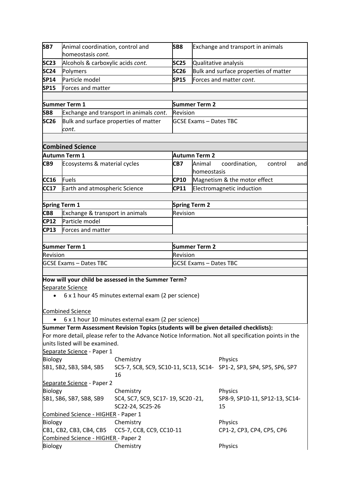| SB7            | Animal coordination, control and    |                                                                                      | SB8                              |                               | Exchange and transport in animals                                                                    |
|----------------|-------------------------------------|--------------------------------------------------------------------------------------|----------------------------------|-------------------------------|------------------------------------------------------------------------------------------------------|
|                | homeostasis cont.                   |                                                                                      |                                  |                               |                                                                                                      |
| <b>SC23</b>    | Alcohols & carboxylic acids cont.   |                                                                                      | <b>SC25</b>                      |                               | Qualitative analysis                                                                                 |
| <b>SC24</b>    | Polymers                            |                                                                                      | <b>SC26</b>                      |                               | Bulk and surface properties of matter                                                                |
| SP14           | Particle model                      |                                                                                      | <b>SP15</b>                      |                               | Forces and matter cont.                                                                              |
| <b>SP15</b>    | Forces and matter                   |                                                                                      |                                  |                               |                                                                                                      |
|                |                                     |                                                                                      |                                  |                               |                                                                                                      |
|                | Summer Term 1                       |                                                                                      |                                  | <b>Summer Term 2</b>          |                                                                                                      |
| SB8            |                                     | Exchange and transport in animals cont.                                              | Revision                         |                               |                                                                                                      |
| <b>SC26</b>    |                                     | Bulk and surface properties of matter                                                |                                  | <b>GCSE Exams - Dates TBC</b> |                                                                                                      |
|                | cont.                               |                                                                                      |                                  |                               |                                                                                                      |
|                |                                     |                                                                                      |                                  |                               |                                                                                                      |
|                |                                     |                                                                                      |                                  |                               |                                                                                                      |
|                | <b>Combined Science</b>             |                                                                                      |                                  |                               |                                                                                                      |
|                | Autumn Term 1                       |                                                                                      |                                  | Autumn Term 2                 |                                                                                                      |
| CB9            | Ecosystems & material cycles        |                                                                                      | CB7                              | Animal<br>homeostasis         | coordination,<br>control<br>and                                                                      |
| <b>CC16</b>    | <b>Fuels</b>                        |                                                                                      | <b>CP10</b>                      |                               | Magnetism & the motor effect                                                                         |
| <b>CC17</b>    | Earth and atmospheric Science       |                                                                                      | <b>CP11</b>                      |                               | Electromagnetic induction                                                                            |
|                |                                     |                                                                                      |                                  |                               |                                                                                                      |
|                | <b>Spring Term 1</b>                |                                                                                      |                                  | <b>Spring Term 2</b>          |                                                                                                      |
| CB8            | Exchange & transport in animals     |                                                                                      | Revision                         |                               |                                                                                                      |
| <b>CP12</b>    | Particle model                      |                                                                                      |                                  |                               |                                                                                                      |
| CP13           | Forces and matter                   |                                                                                      |                                  |                               |                                                                                                      |
|                |                                     |                                                                                      |                                  |                               |                                                                                                      |
|                | Summer Term 1                       |                                                                                      |                                  |                               |                                                                                                      |
| Revision       |                                     |                                                                                      | <b>Summer Term 2</b><br>Revision |                               |                                                                                                      |
|                |                                     |                                                                                      | <b>GCSE Exams - Dates TBC</b>    |                               |                                                                                                      |
|                | <b>GCSE Exams - Dates TBC</b>       |                                                                                      |                                  |                               |                                                                                                      |
|                |                                     |                                                                                      |                                  |                               |                                                                                                      |
|                |                                     | How will your child be assessed in the Summer Term?                                  |                                  |                               |                                                                                                      |
|                | Separate Science                    |                                                                                      |                                  |                               |                                                                                                      |
| $\bullet$      |                                     | 6 x 1 hour 45 minutes external exam (2 per science)                                  |                                  |                               |                                                                                                      |
|                |                                     |                                                                                      |                                  |                               |                                                                                                      |
|                | <b>Combined Science</b>             |                                                                                      |                                  |                               |                                                                                                      |
|                |                                     | 6 x 1 hour 10 minutes external exam (2 per science)                                  |                                  |                               |                                                                                                      |
|                |                                     | Summer Term Assessment Revision Topics (students will be given detailed checklists): |                                  |                               |                                                                                                      |
|                |                                     |                                                                                      |                                  |                               | For more detail, please refer to the Advance Notice Information. Not all specification points in the |
|                | units listed will be examined.      |                                                                                      |                                  |                               |                                                                                                      |
|                | Separate Science - Paper 1          |                                                                                      |                                  |                               |                                                                                                      |
| <b>Biology</b> |                                     | Chemistry                                                                            |                                  |                               | Physics                                                                                              |
|                | SB1, SB2, SB3, SB4, SB5             |                                                                                      |                                  |                               | SC5-7, SC8, SC9, SC10-11, SC13, SC14- SP1-2, SP3, SP4, SP5, SP6, SP7                                 |
|                |                                     | 16                                                                                   |                                  |                               |                                                                                                      |
|                | Separate Science - Paper 2          |                                                                                      |                                  |                               |                                                                                                      |
| <b>Biology</b> |                                     | Chemistry                                                                            |                                  |                               | Physics                                                                                              |
|                | SB1, SB6, SB7, SB8, SB9             | SC4, SC7, SC9, SC17-19, SC20-21,                                                     |                                  |                               | SP8-9, SP10-11, SP12-13, SC14-                                                                       |
|                |                                     | SC22-24, SC25-26                                                                     |                                  |                               | 15                                                                                                   |
|                | Combined Science - HIGHER - Paper 1 |                                                                                      |                                  |                               |                                                                                                      |
| Biology        |                                     | Chemistry                                                                            |                                  |                               | Physics                                                                                              |
|                | CB1, CB2, CB3, CB4, CB5             | CC5-7, CC8, CC9, CC10-11                                                             |                                  |                               | CP1-2, CP3, CP4, CP5, CP6                                                                            |
|                | Combined Science - HIGHER - Paper 2 |                                                                                      |                                  |                               |                                                                                                      |
| Biology        |                                     | Chemistry                                                                            |                                  |                               | Physics                                                                                              |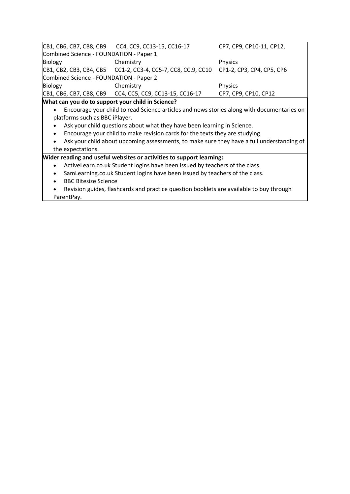|                                         | CB1, CB6, CB7, CB8, CB9 CC4, CC9, CC13-15, CC16-17                                           | CP7, CP9, CP10-11, CP12, |  |
|-----------------------------------------|----------------------------------------------------------------------------------------------|--------------------------|--|
| Combined Science - FOUNDATION - Paper 1 |                                                                                              |                          |  |
| Biology                                 | Chemistry                                                                                    | <b>Physics</b>           |  |
|                                         | CB1, CB2, CB3, CB4, CB5    CC1-2, CC3-4, CC5-7, CC8, CC.9, CC10    CP1-2, CP3, CP4, CP5, CP6 |                          |  |
| Combined Science - FOUNDATION - Paper 2 |                                                                                              |                          |  |
| Biology                                 | Chemistry                                                                                    | <b>Physics</b>           |  |
|                                         | CB1, CB6, CB7, CB8, CB9 CC4, CC5, CC9, CC13-15, CC16-17                                      | CP7, CP9, CP10, CP12     |  |

#### **What can you do to support your child in Science?**

- Encourage your child to read Science articles and news stories along with documentaries on platforms such as BBC iPlayer.
- Ask your child questions about what they have been learning in Science.
- Encourage your child to make revision cards for the texts they are studying.
- Ask your child about upcoming assessments, to make sure they have a full understanding of the expectations.

#### **Wider reading and useful websites or activities to support learning:**

- ActiveLearn.co.uk Student logins have been issued by teachers of the class.
- SamLearning.co.uk Student logins have been issued by teachers of the class.
- BBC Bitesize Science
- Revision guides, flashcards and practice question booklets are available to buy through ParentPay.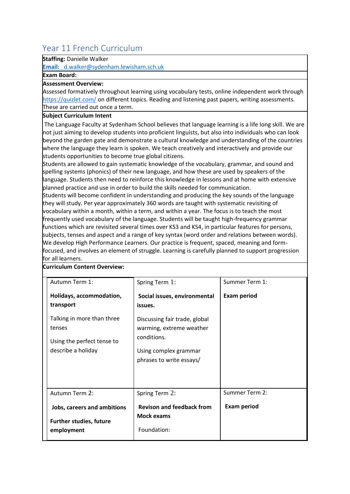## <span id="page-10-0"></span>Year 11 French Curriculum

#### **Staffing:** Danielle Walker

**Email:** [d.walker@sydenham.lewisham.sch.uk](mailto:Email:  d.walker@sydenham.lewisham.sch.uk)

#### **Exam Board:**

#### **Assessment Overview:**

Assessed formatively throughout learning using vocabulary tests, online independent work through <https://quizlet.com/> on different topics. Reading and listening past papers, writing assessments. These are carried out once a term.

#### **Subject Curriculum Intent**

The Language Faculty at Sydenham School believes that language learning is a life long skill. We are not just aiming to develop students into proficient linguists, but also into individuals who can look beyond the garden gate and demonstrate a cultural knowledge and understanding of the countries where the language they learn is spoken. We teach creatively and interactively and provide our students opportunities to become true global citizens.

Students are allowed to gain systematic knowledge of the vocabulary, grammar, and sound and spelling systems (phonics) of their new language, and how these are used by speakers of the language. Students then need to reinforce this knowledge in lessons and at home with extensive planned practice and use in order to build the skills needed for communication.

Students will become confident in understanding and producing the key sounds of the language they will study. Per year approximately 360 words are taught with systematic revisiting of vocabulary within a month, within a term, and within a year. The focus is to teach the most frequently used vocabulary of the language. Students will be taught high-frequency grammar functions which are revisited several times over KS3 and KS4, in particular features for persons, subjects, tenses and aspect and a range of key syntax (word order and relations between words). We develop High Performance Learners. Our practice is frequent, spaced, meaning and formfocused, and involves an element of struggle. Learning is carefully planned to support progression for all learners.

| Autumn Term 1:                                                              | Spring Term 1:                                                       | Summer Term 1:     |
|-----------------------------------------------------------------------------|----------------------------------------------------------------------|--------------------|
| Holidays, accommodation,<br>transport                                       | Social issues, environmental<br>issues.                              | <b>Exam period</b> |
| Talking in more than three<br>tenses                                        | Discussing fair trade, global<br>warming, extreme weather            |                    |
| Using the perfect tense to<br>describe a holiday                            | conditions.<br>Using complex grammar<br>phrases to write essays/     |                    |
| Autumn Term 2:                                                              | Spring Term 2:                                                       | Summer Term 2:     |
| Jobs, careers and ambitions<br><b>Further studies, future</b><br>employment | <b>Revison and feedback from</b><br><b>Mock exams</b><br>Foundation: | <b>Exam period</b> |

**Curriculum Content Overview:**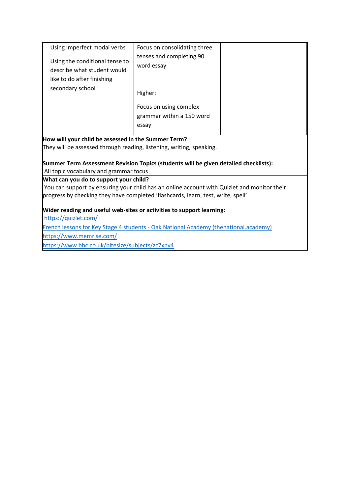| Using imperfect modal verbs                                                                 | Focus on consolidating three |  |  |  |
|---------------------------------------------------------------------------------------------|------------------------------|--|--|--|
|                                                                                             | tenses and completing 90     |  |  |  |
| Using the conditional tense to<br>describe what student would                               | word essay                   |  |  |  |
|                                                                                             |                              |  |  |  |
| like to do after finishing                                                                  |                              |  |  |  |
| secondary school                                                                            | Higher:                      |  |  |  |
|                                                                                             | Focus on using complex       |  |  |  |
|                                                                                             | grammar within a 150 word    |  |  |  |
|                                                                                             | essay                        |  |  |  |
|                                                                                             |                              |  |  |  |
| How will your child be assessed in the Summer Term?                                         |                              |  |  |  |
| They will be assessed through reading, listening, writing, speaking.                        |                              |  |  |  |
| Summer Term Assessment Revision Topics (students will be given detailed checklists):        |                              |  |  |  |
| All topic vocabulary and grammar focus                                                      |                              |  |  |  |
| What can you do to support your child?                                                      |                              |  |  |  |
| You can support by ensuring your child has an online account with Quizlet and monitor their |                              |  |  |  |
| progress by checking they have completed 'flashcards, learn, test, write, spell'            |                              |  |  |  |
| Wider reading and useful web-sites or activities to support learning:                       |                              |  |  |  |
| https://quizlet.com/                                                                        |                              |  |  |  |
| French lessons for Key Stage 4 students - Oak National Academy (thenational.academy)        |                              |  |  |  |
| https://www.memrise.com/                                                                    |                              |  |  |  |

<https://www.bbc.co.uk/bitesize/subjects/zc7xpv4>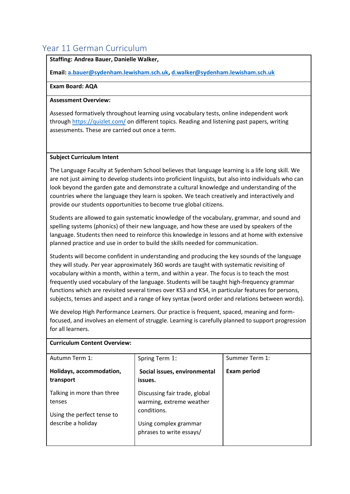## <span id="page-12-0"></span>Year 11 German Curriculum

#### **Staffing: Andrea Bauer, Danielle Walker,**

**Email[: a.bauer@sydenham.lewisham.sch.uk,](mailto:a.bauer@sydenham.lewisham.sch.uk) [d.walker@sydenham.lewisham.sch.uk](mailto:d.walker@sydenham.lewisham.sch.uk)**

#### **Exam Board: AQA**

#### **Assessment Overview:**

Assessed formatively throughout learning using vocabulary tests, online independent work through<https://quizlet.com/> on different topics. Reading and listening past papers, writing assessments. These are carried out once a term.

#### **Subject Curriculum Intent**

The Language Faculty at Sydenham School believes that language learning is a life long skill. We are not just aiming to develop students into proficient linguists, but also into individuals who can look beyond the garden gate and demonstrate a cultural knowledge and understanding of the countries where the language they learn is spoken. We teach creatively and interactively and provide our students opportunities to become true global citizens.

Students are allowed to gain systematic knowledge of the vocabulary, grammar, and sound and spelling systems (phonics) of their new language, and how these are used by speakers of the language. Students then need to reinforce this knowledge in lessons and at home with extensive planned practice and use in order to build the skills needed for communication.

Students will become confident in understanding and producing the key sounds of the language they will study. Per year approximately 360 words are taught with systematic revisiting of vocabulary within a month, within a term, and within a year. The focus is to teach the most frequently used vocabulary of the language. Students will be taught high-frequency grammar functions which are revisited several times over KS3 and KS4, in particular features for persons, subjects, tenses and aspect and a range of key syntax (word order and relations between words).

We develop High Performance Learners. Our practice is frequent, spaced, meaning and formfocused, and involves an element of struggle. Learning is carefully planned to support progression for all learners.

| Spring Term 1:                                            | Summer Term 1:     |
|-----------------------------------------------------------|--------------------|
| Social issues, environmental<br>issues.                   | <b>Exam period</b> |
| Discussing fair trade, global<br>warming, extreme weather |                    |
| Using complex grammar<br>phrases to write essays/         |                    |
|                                                           | conditions.        |

#### **Curriculum Content Overview:**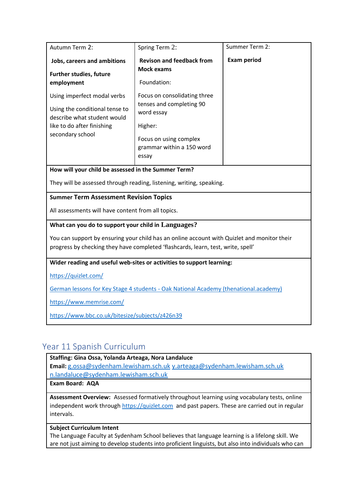| Autumn Term 2:                                                                                                                                 | Spring Term 2:                                                                                                                                    | Summer Term 2:     |
|------------------------------------------------------------------------------------------------------------------------------------------------|---------------------------------------------------------------------------------------------------------------------------------------------------|--------------------|
| <b>Jobs, careers and ambitions</b><br><b>Further studies, future</b><br>employment                                                             | <b>Revison and feedback from</b><br><b>Mock exams</b><br>Foundation:                                                                              | <b>Exam period</b> |
| Using imperfect modal verbs<br>Using the conditional tense to<br>describe what student would<br>like to do after finishing<br>secondary school | Focus on consolidating three<br>tenses and completing 90<br>word essay<br>Higher:<br>Focus on using complex<br>grammar within a 150 word<br>essay |                    |
| How will your child be assessed in the Summer Term?                                                                                            |                                                                                                                                                   |                    |

They will be assessed through reading, listening, writing, speaking.

**Summer Term Assessment Revision Topics** 

All assessments will have content from all topics.

#### **What can you do to support your child in Languages?**

You can support by ensuring your child has an online account with Quizlet and monitor their progress by checking they have completed 'flashcards, learn, test, write, spell'

#### **Wider reading and useful web-sites or activities to support learning:**

<https://quizlet.com/>

German lessons for Key Stage 4 students - [Oak National Academy \(thenational.academy\)](https://classroom.thenational.academy/subjects-by-key-stage/key-stage-4/subjects/german)

<https://www.memrise.com/>

<https://www.bbc.co.uk/bitesize/subjects/z426n39>

## <span id="page-13-0"></span>Year 11 Spanish Curriculum

**Staffing: Gina Ossa, Yolanda Arteaga, Nora Landaluce Email:** [g.ossa@sydenham.lewisham.sch.uk](mailto:g.ossa@sydenham.lewisham.sch.uk) [y.arteaga@sydenham.lewisham.sch.uk](mailto:y.arteaga@sydenham.lewisham.sch.uk) [n.landaluce@sydenham.lewisham.sch.uk](mailto:n.landaluce@sydenham.lewisham.sch.uk)

**Exam Board: AQA**

**Assessment Overview:** Assessed formatively throughout learning using vocabulary tests, online independent work through [https://quizlet.com](https://quizlet.com/join/NAypGaNMD) and past papers. These are carried out in regular intervals.

#### **Subject Curriculum Intent**

The Language Faculty at Sydenham School believes that language learning is a lifelong skill. We are not just aiming to develop students into proficient linguists, but also into individuals who can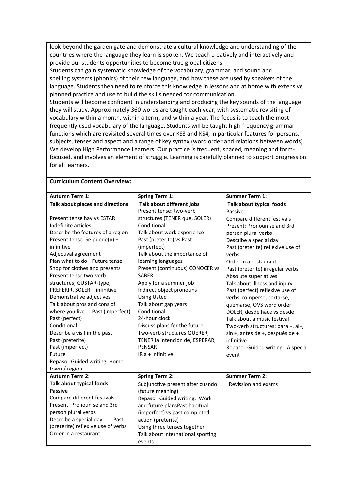look beyond the garden gate and demonstrate a cultural knowledge and understanding of the countries where the language they learn is spoken. We teach creatively and interactively and provide our students opportunities to become true global citizens.

Students can gain systematic knowledge of the vocabulary, grammar, and sound and spelling systems (phonics) of their new language, and how these are used by speakers of the language. Students then need to reinforce this knowledge in lessons and at home with extensive planned practice and use to build the skills needed for communication.

Students will become confident in understanding and producing the key sounds of the language they will study. Approximately 360 words are taught each year, with systematic revisiting of vocabulary within a month, within a term, and within a year. The focus is to teach the most frequently used vocabulary of the language. Students will be taught high-frequency grammar functions which are revisited several times over KS3 and KS4, in particular features for persons, subjects, tenses and aspect and a range of key syntax (word order and relations between words). We develop High Performance Learners. Our practice is frequent, spaced, meaning and formfocused, and involves an element of struggle. Learning is carefully planned to support progression for all learners.

#### **Curriculum Content Overview:**

| <b>Autumn Term 1:</b>              | <b>Spring Term 1:</b>             | <b>Summer Term 1:</b>             |
|------------------------------------|-----------------------------------|-----------------------------------|
| Talk about places and directions   | Talk about different jobs         | Talk about typical foods          |
|                                    | Present tense: two-verb           |                                   |
|                                    |                                   | Passive                           |
| Present tense hay vs ESTAR         | structures (TENER que, SOLER)     | Compare different festivals       |
| Indefinite articles                | Conditional                       | Present: Pronoun se and 3rd       |
| Describe the features of a region  | Talk about work experience        | person plural verbs               |
| Present tense: Se puede(n) +       | Past (preterite) vs Past          | Describe a special day            |
| infinitive                         | (imperfect)                       | Past (preterite) reflexive use of |
| Adjectival agreement               | Talk about the importance of      | verbs                             |
| Plan what to do Future tense       | learning languages                | Order in a restaurant             |
| Shop for clothes and presents      | Present (continuous) CONOCER vs   | Past (preterite) irregular verbs  |
| Present tense two-verb             | <b>SABER</b>                      | Absolute superlatives             |
| structures; GUSTAR-type,           | Apply for a summer job            | Talk about illness and injury     |
| PREFERIR, SOLER + infinitive       | Indirect object pronouns          | Past (perfect) reflexive use of   |
| Demonstrative adjectives           | <b>Using Usted</b>                | verbs: romperse, cortarse,        |
| Talk about pros and cons of        | Talk about gap years              | quemarse, OVS word order:         |
| where you live<br>Past (imperfect) | Conditional                       | DOLER, desde hace vs desde        |
| Past (perfect)                     | 24-hour clock                     | Talk about a music festival       |
| Conditional                        | Discuss plans for the future      | Two-verb structures: para +, al+, |
| Describe a visit in the past       | Two-verb structures QUERER,       | sin +, antes de +, después de +   |
| Past (preterite)                   | TENER la intención de, ESPERAR,   | infinitive                        |
| Past (imperfect)                   | PENSAR                            | Repaso Guided writing: A special  |
| Future                             | IR $a +$ infinitive               | event                             |
| Repaso Guided writing: Home        |                                   |                                   |
| town / region                      |                                   |                                   |
| <b>Autumn Term 2:</b>              | <b>Spring Term 2:</b>             | <b>Summer Term 2:</b>             |
| <b>Talk about typical foods</b>    | Subjunctive present after cuando  | <b>Revission and exams</b>        |
| <b>Passive</b>                     | (future meaning)                  |                                   |
| Compare different festivals        | Repaso Guided writing: Work       |                                   |
| Present: Pronoun se and 3rd        | and future plansPast habitual     |                                   |
| person plural verbs                | (imperfect) vs past completed     |                                   |
| Describe a special day<br>Past     | action (preterite)                |                                   |
| (preterite) reflexive use of verbs | Using three tenses together       |                                   |
| Order in a restaurant              | Talk about international sporting |                                   |
|                                    | events                            |                                   |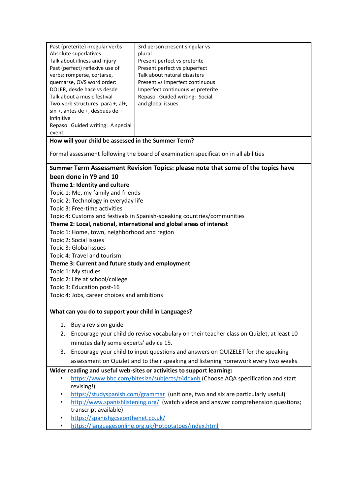| Past (preterite) irregular verbs  | 3rd person present singular vs    |  |
|-----------------------------------|-----------------------------------|--|
| Absolute superlatives             | plural                            |  |
| Talk about illness and injury     | Present perfect vs preterite      |  |
| Past (perfect) reflexive use of   | Present perfect vs pluperfect     |  |
| verbs: romperse, cortarse,        | Talk about natural disasters      |  |
| quemarse, OVS word order:         | Present vs Imperfect continuous   |  |
| DOLER, desde hace vs desde        | Imperfect continuous vs preterite |  |
| Talk about a music festival       | Repaso Guided writing: Social     |  |
| Two-verb structures: para +, al+, | and global issues                 |  |
| sin +, antes de +, después de +   |                                   |  |
| infinitive                        |                                   |  |
| Repaso Guided writing: A special  |                                   |  |
| event                             |                                   |  |

**How will your child be assessed in the Summer Term?**

Formal assessment following the board of examination specification in all abilities

#### **Summer Term Assessment Revision Topics: please note that some of the topics have been done in Y9 and 10**

#### **Theme 1: Identity and culture**

Topic 1: Me, my family and friends

Topic 2: Technology in everyday life

Topic 3: Free-time activities

Topic 4: Customs and festivals in Spanish-speaking countries/communities

#### **Theme 2: Local, national, international and global areas of interest**

#### Topic 1: Home, town, neighborhood and region

- Topic 2: Social issues
- Topic 3: Global issues
- Topic 4: Travel and tourism

#### **Theme 3: Current and future study and employment**

Topic 1: My studies

Topic 2: Life at school/college

Topic 3: Education post-16

Topic 4: Jobs, career choices and ambitions

#### **What can you do to support your child in Languages?**

- 1. Buy a revision guide
- 2. Encourage your child do revise vocabulary on their teacher class on Quizlet, at least 10 minutes daily some experts' advice 15.
- 3. Encourage your child to input questions and answers on QUIZELET for the speaking assessment on Quizlet and to their speaking and listening homework every two weeks

#### **Wider reading and useful web-sites or activities to support learning:**

- <https://www.bbc.com/bitesize/subjects/z4dqxnb> (Choose AQA specification and start revising!)
- <https://studyspanish.com/grammar>(unit one, two and six are particularly useful)
- <http://www.spanishlistening.org/>(watch videos and answer comprehension questions; transcript available)
- <https://spanishgcseonthenet.co.uk/>
- <https://languagesonline.org.uk/Hotpotatoes/index.html>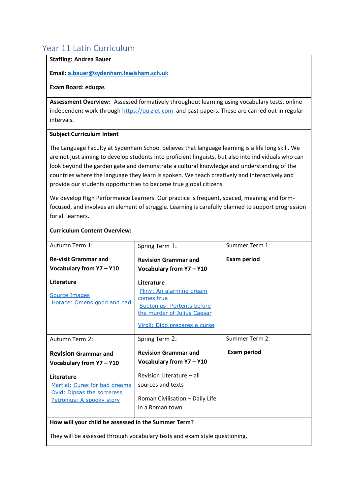## <span id="page-16-0"></span>Year 11 Latin Curriculum

#### **Staffing: Andrea Bauer**

#### **Email[: a.bauer@sydenham.lewisham.sch.uk](mailto:a.bauer@sydenham.lewisham.sch.uk)**

#### **Exam Board: eduqas**

**Assessment Overview:** Assessed formatively throughout learning using vocabulary tests, online independent work through [https://quizlet.com](https://quizlet.com/join/NAypGaNMD) and past papers. These are carried out in regular intervals.

#### **Subject Curriculum Intent**

**Curriculum Content Overview:**

The Language Faculty at Sydenham School believes that language learning is a life long skill. We are not just aiming to develop students into proficient linguists, but also into individuals who can look beyond the garden gate and demonstrate a cultural knowledge and understanding of the countries where the language they learn is spoken. We teach creatively and interactively and provide our students opportunities to become true global citizens.

We develop High Performance Learners. Our practice is frequent, spaced, meaning and formfocused, and involves an element of struggle. Learning is carefully planned to support progression for all learners.

| Autumn Term 1:                                              | Spring Term 1:                                                                                      | Summer Term 1:     |
|-------------------------------------------------------------|-----------------------------------------------------------------------------------------------------|--------------------|
| <b>Re-visit Grammar and</b><br>Vocabulary from Y7 - Y10     | <b>Revision Grammar and</b><br>Vocabulary from Y7 - Y10                                             | <b>Exam period</b> |
| Literature                                                  | Literature                                                                                          |                    |
| <b>Source Images</b><br>Horace: Omens good and bad          | Pliny: An alarming dream<br>comes true<br>Suetonius: Portents before<br>the murder of Julius Caesar |                    |
|                                                             | Virgil: Dido prepares a curse                                                                       |                    |
| Autumn Term 2:                                              | Spring Term 2:                                                                                      | Summer Term 2:     |
| <b>Revision Grammar and</b><br>Vocabulary from Y7 - Y10     | <b>Revision Grammar and</b><br>Vocabulary from Y7 - Y10                                             | <b>Exam period</b> |
| Literature                                                  | Revision Literature - all                                                                           |                    |
| Martial: Cures for bad dreams<br>Ovid: Dipsas the sorceress | sources and texts                                                                                   |                    |
| Petronius: A spooky story                                   | Roman Civilisation - Daily Life                                                                     |                    |
|                                                             |                                                                                                     |                    |
|                                                             | in a Roman town                                                                                     |                    |

They will be assessed through vocabulary tests and exam style questioning,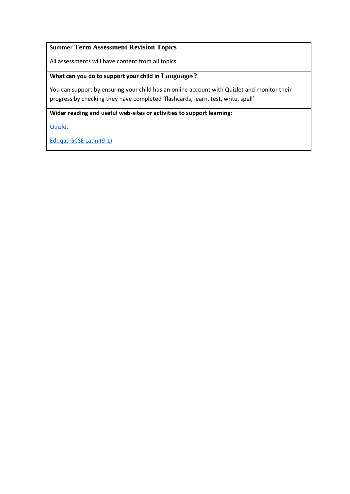#### **Summer Term Assessment Revision Topics**

All assessments will have content from all topics.

#### **What can you do to support your child in Languages?**

You can support by ensuring your child has an online account with Quizlet and monitor their progress by checking they have completed 'flashcards, learn, test, write, spell'

**Wider reading and useful web-sites or activities to support learning:**

[Quizlet](https://quizlet.com/join/NAypGaNMD)

[Eduqas GCSE Latin \(9-1\)](https://www.exams.cambridgescp.com/Array/eduqas-gcse-latin-9-1)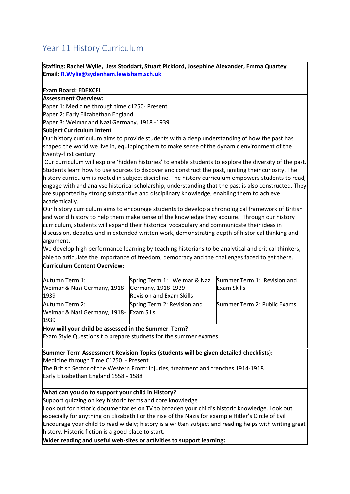## <span id="page-18-0"></span>Year 11 History Curriculum

**Staffing: Rachel Wylie, Jess Stoddart, Stuart Pickford, Josephine Alexander, Emma Quartey Email[: R.Wylie@sydenham.lewisham.sch.uk](mailto:R.Wylie@sydenham.lewisham.sch.uk)**

#### **Exam Board: EDEXCEL**

#### **Assessment Overview:**

Paper 1: Medicine through time c1250- Present

Paper 2: Early Elizabethan England

Paper 3: Weimar and Nazi Germany, 1918 -1939

#### **Subject Curriculum Intent**

Our history curriculum aims to provide students with a deep understanding of how the past has shaped the world we live in, equipping them to make sense of the dynamic environment of the twenty-first century.

Our curriculum will explore 'hidden histories' to enable students to explore the diversity of the past. Students learn how to use sources to discover and construct the past, igniting their curiosity. The history curriculum is rooted in subject discipline. The history curriculum empowers students to read, engage with and analyse historical scholarship, understanding that the past is also constructed. They are supported by strong substantive and disciplinary knowledge, enabling them to achieve academically.

Our history curriculum aims to encourage students to develop a chronological framework of British and world history to help them make sense of the knowledge they acquire. Through our history curriculum, students will expand their historical vocabulary and communicate their ideas in discussion, debates and in extended written work, demonstrating depth of historical thinking and argument.

We develop high performance learning by teaching historians to be analytical and critical thinkers, able to articulate the importance of freedom, democracy and the challenges faced to get there.

#### **Curriculum Content Overview:**

| Autumn Term 1:                                  | Spring Term 1: Weimar & Nazi Summer Term 1: Revision and |                             |
|-------------------------------------------------|----------------------------------------------------------|-----------------------------|
| Weimar & Nazi Germany, 1918- Germany, 1918-1939 |                                                          | <b>Exam Skills</b>          |
| 1939                                            | <b>Revision and Exam Skills</b>                          |                             |
| Autumn Term 2:                                  | Spring Term 2: Revision and                              | Summer Term 2: Public Exams |
| Weimar & Nazi Germany, 1918- Exam Sills         |                                                          |                             |
| 1939                                            |                                                          |                             |

#### **How will your child be assessed in the Summer Term?**

Exam Style Questions t o prepare studnets for the summer exames

#### **Summer Term Assessment Revision Topics (students will be given detailed checklists):**

Medicine through Time C1250 - Present

The British Sector of the Western Front: Injuries, treatment and trenches 1914-1918 Early Elizabethan England 1558 - 1588

#### **What can you do to support your child in History?**

Support quizzing on key historic terms and core knowledge

Look out for historic documentaries on TV to broaden your child's historic knowledge. Look out especially for anything on Elizabeth I or the rise of the Nazis for example Hitler's Circle of Evil Encourage your child to read widely; history is a written subject and reading helps with writing great history. Historic fiction is a good place to start.

**Wider reading and useful web-sites or activities to support learning:**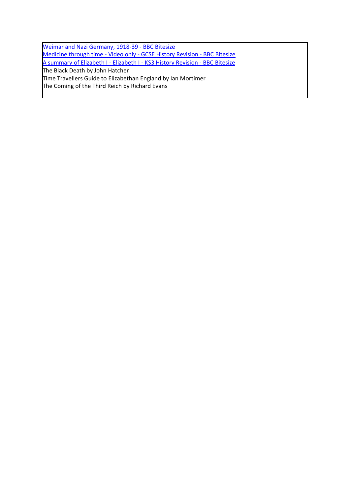[Weimar and Nazi Germany, 1918-39 -](https://www.bbc.co.uk/bitesize/guides/zt9v7hv/revision/1) BBC Bitesize [Medicine through time -](https://www.bbc.co.uk/bitesize/topics/zhphvcw) Video only - GCSE History Revision - BBC Bitesize [A summary of Elizabeth I -](https://www.bbc.co.uk/bitesize/guides/zcn4jxs/revision/1) Elizabeth I - KS3 History Revision - BBC Bitesize The Black Death by John Hatcher Time Travellers Guide to Elizabethan England by Ian Mortimer The Coming of the Third Reich by Richard Evans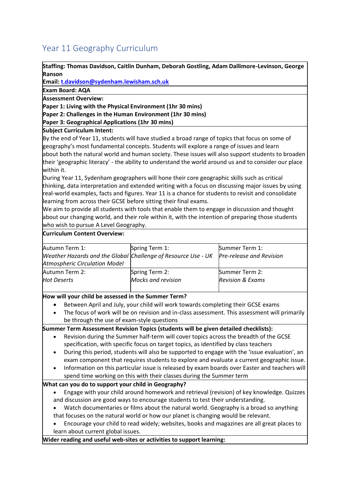## <span id="page-20-0"></span>Year 11 Geography Curriculum

**Staffing: Thomas Davidson, Caitlin Dunham, Deborah Gostling, Adam Dallimore-Levinson, George Ranson**

**Email[: t.davidson@sydenham.lewisham.sch.uk](mailto:t.davidson@sydenham.lewisham.sch.uk)**

**Exam Board: AQA**

**Assessment Overview:**

**Paper 1: Living with the Physical Environment (1hr 30 mins)**

**Paper 2: Challenges in the Human Environment (1hr 30 mins)**

**Paper 3: Geographical Applications (1hr 30 mins)**

**Subject Curriculum Intent:**

By the end of Year 11, students will have studied a broad range of topics that focus on some of geography's most fundamental concepts. Students will explore a range of issues and learn about both the natural world and human society. These issues will also support students to broaden their 'geographic literacy' - the ability to understand the world around us and to consider our place within it. 

During Year 11, Sydenham geographers will hone their core geographic skills such as critical thinking, data interpretation and extended writing with a focus on discussing major issues by using real-world examples, facts and figures. Year 11 is a chance for students to revisit and consolidate learning from across their GCSE before sitting their final exams.

We aim to provide all students with tools that enable them to engage in discussion and thought about our changing world, and their role within it, with the intention of preparing those students who wish to pursue A Level Geography.

#### **Curriculum Content Overview:**

| Autumn Term 1:                                                | Spring Term 1:     | Summer Term 1:                  |
|---------------------------------------------------------------|--------------------|---------------------------------|
| Weather Hazards and the Global Challenge of Resource Use - UK |                    | <b>Pre-release and Revision</b> |
| <b>Atmospheric Circulation Model</b>                          |                    |                                 |
| Autumn Term 2:                                                | Spring Term 2:     | Summer Term 2:                  |
| <b>Hot Deserts</b>                                            | Mocks and revision | <b>Revision &amp; Exams</b>     |
|                                                               |                    |                                 |

#### **How will your child be assessed in the Summer Term?**

- Between April and July, your child will work towards completing their GCSE exams
- The focus of work will be on revision and in-class assessment. This assessment will primarily be through the use of exam-style questions

**Summer Term Assessment Revision Topics (students will be given detailed checklists):**

- Revision during the Summer half-term will cover topics across the breadth of the GCSE specification, with specific focus on target topics, as identified by class teachers
- During this period, students will also be supported to engage with the 'issue evaluation', an exam component that requires students to explore and evaluate a current geographic issue.
- Information on this particular issue is released by exam boards over Easter and teachers will

#### spend time working on this with their classes during the Summer term

#### **What can you do to support your child in Geography?**

- Engage with your child around homework and retrieval (revision) of key knowledge. Quizzes and discussion are good ways to encourage students to test their understanding.
- Watch documentaries or films about the natural world. Geography is a broad so anything that focuses on the natural world or how our planet is changing would be relevant.
- Encourage your child to read widely; websites, books and magazines are all great places to learn about current global issues.

**Wider reading and useful web-sites or activities to support learning:**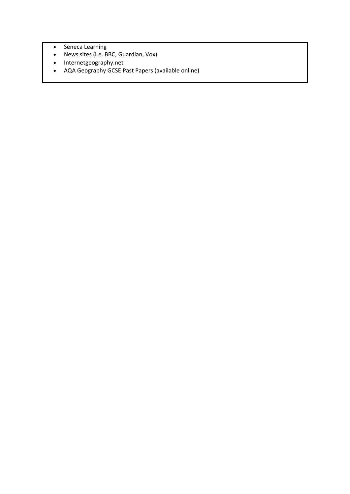- Seneca Learning
- News sites (i.e. BBC, Guardian, Vox)
- Internetgeography.net
- AQA Geography GCSE Past Papers (available online)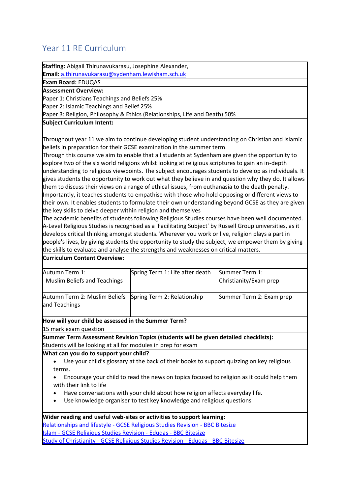## <span id="page-22-0"></span>Year 11 RE Curriculum

**Staffing:** Abigail Thirunavukarasu, Josephine Alexander, **Email:** [a.thirunavukarasu@sydenham.lewisham.sch.uk](mailto:a.thirunavukarasu@sydenham.lewisham.sch.uk) **Exam Board:** EDUQAS **Assessment Overview:** Paper 1: Christians Teachings and Beliefs 25% Paper 2: Islamic Teachings and Belief 25% Paper 3: Religion, Philosophy & Ethics (Relationships, Life and Death) 50% **Subject Curriculum Intent:** Throughout year 11 we aim to continue developing student understanding on Christian and Islamic beliefs in preparation for their GCSE examination in the summer term. Through this course we aim to enable that all students at Sydenham are given the opportunity to explore two of the six world religions whilst looking at religious scriptures to gain an in-depth understanding to religious viewpoints. The subject encourages students to develop as individuals. It gives students the opportunity to work out what they believe in and question why they do. It allows them to discuss their views on a range of ethical issues, from euthanasia to the death penalty. Importantly, it teaches students to empathise with those who hold opposing or different views to their own. It enables students to formulate their own understanding beyond GCSE as they are given the key skills to delve deeper within religion and themselves The academic benefits of students following Religious Studies courses have been well documented. A-Level Religious Studies is recognised as a 'Facilitating Subject' by Russell Group universities, as it

develops critical thinking amongst students. Wherever you work or live, religion plays a part in people's lives, by giving students the opportunity to study the subject, we empower them by giving the skills to evaluate and analyse the strengths and weaknesses on critical matters.

#### **Curriculum Content Overview:**

| Autumn Term 1:<br><b>Muslim Beliefs and Teachings</b>                      | Spring Term 1: Life after death | Summer Term 1:<br>Christianity/Exam prep |
|----------------------------------------------------------------------------|---------------------------------|------------------------------------------|
| Autumn Term 2: Muslim Beliefs Spring Term 2: Relationship<br>and Teachings |                                 | Summer Term 2: Exam prep                 |

#### **How will your child be assessed in the Summer Term?**

15 mark exam question

**Summer Term Assessment Revision Topics (students will be given detailed checklists):** Students will be looking at all for modules in prep for exam

#### **What can you do to support your child?**

- Use your child's glossary at the back of their books to support quizzing on key religious terms.
- Encourage your child to read the news on topics focused to religion as it could help them with their link to life
- Have conversations with your child about how religion affects everyday life.
- Use knowledge organiser to test key knowledge and religious questions

#### **Wider reading and useful web-sites or activities to support learning:** Relationships and lifestyle - [GCSE Religious Studies Revision -](https://www.bbc.co.uk/bitesize/topics/zwqvrdm) BBC Bitesize Islam - [GCSE Religious Studies Revision -](https://www.bbc.co.uk/bitesize/topics/z78sjhv) Eduqas - BBC Bitesize Study of Christianity - [GCSE Religious Studies Revision -](https://www.bbc.co.uk/bitesize/topics/zryqbdm) Eduqas - BBC Bitesize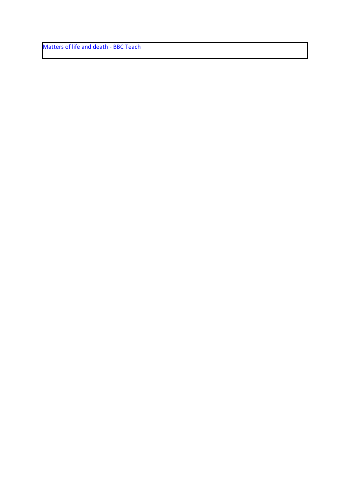[Matters of life and death -](https://www.bbc.co.uk/teach/class-clips-video/religious-studies-gcse-matters-of-life-and-death/zy24bqt) BBC Teach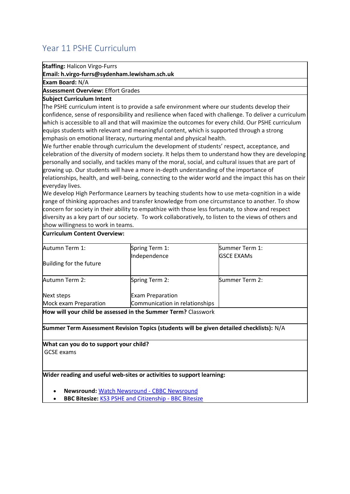## <span id="page-24-0"></span>Year 11 PSHE Curriculum

**Staffing:** Halicon Virgo-Furrs

**Email: h.virgo-furrs@sydenham.lewisham.sch.uk**

**Exam Board:** N/A

#### **Assessment Overview:** Effort Grades

#### **Subject Curriculum Intent**

The PSHE curriculum intent is to provide a safe environment where our students develop their confidence, sense of responsibility and resilience when faced with challenge. To deliver a curriculum which is accessible to all and that will maximize the outcomes for every child. Our PSHE curriculum equips students with relevant and meaningful content, which is supported through a strong emphasis on emotional literacy, nurturing mental and physical health.

We further enable through curriculum the development of students' respect, acceptance, and celebration of the diversity of modern society. It helps them to understand how they are developing personally and socially, and tackles many of the moral, social, and cultural issues that are part of growing up. Our students will have a more in-depth understanding of the importance of relationships, health, and well-being, connecting to the wider world and the impact this has on their everyday lives.

We develop High Performance Learners by teaching students how to use meta-cognition in a wide range of thinking approaches and transfer knowledge from one circumstance to another. To show concern for society in their ability to empathize with those less fortunate, to show and respect diversity as a key part of our society. To work collaboratively, to listen to the views of others and show willingness to work in teams.

| <b>Curriculum Content Overview:</b>    |                                                                                          |                   |
|----------------------------------------|------------------------------------------------------------------------------------------|-------------------|
| Autumn Term 1:                         | Spring Term 1:                                                                           | Summer Term 1:    |
|                                        | Independence                                                                             | <b>GSCE EXAMs</b> |
| Building for the future                |                                                                                          |                   |
| Autumn Term 2:                         | Spring Term 2:                                                                           | Summer Term 2:    |
| Next steps                             | <b>Exam Preparation</b>                                                                  |                   |
| Mock exam Preparation                  | Communication in relationships                                                           |                   |
|                                        | How will your child be assessed in the Summer Term? Classwork                            |                   |
|                                        | Summer Term Assessment Revision Topics (students will be given detailed checklists): N/A |                   |
| What can you do to support your child? |                                                                                          |                   |

GCSE exams

#### **Wider reading and useful web-sites or activities to support learning:**

- **Newsround:** [Watch Newsround -](https://www.bbc.co.uk/newsround/news/watch_newsround) CBBC Newsround
- **BBC Bitesize:** [KS3 PSHE and Citizenship -](https://www.bbc.co.uk/bitesize/subjects/ztvg9j6) BBC Bitesize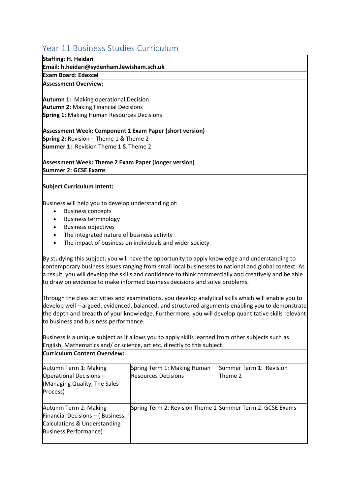## <span id="page-25-0"></span>Year 11 Business Studies Curriculum

#### **Staffing: H. Heidari**

**Email: h.heidari@sydenham.lewisham.sch.uk**

**Exam Board: Edexcel**

#### **Assessment Overview:**

**Autumn 1:** Making operational Decision **Autumn 2:**Making Financial Decisions **Spring 1:**Making Human Resources Decisions

**Assessment Week: Component 1 Exam Paper (short version) Spring 2:**Revision – Theme 1 & Theme 2 **Summer 1:** Revision Theme 1 & Theme 2

**Assessment Week: Theme 2 Exam Paper (longer version) Summer 2: GCSE Exams**

#### **Subject Curriculum Intent:**

Business will help you to develop understanding of:

- Business concepts
- Business terminology
- Business objectives
- The integrated nature of business activity
- The impact of business on individuals and wider society

By studying this subject, you will have the opportunity to apply knowledge and understanding to contemporary business issues ranging from small local businesses to national and global context. As a result, you will develop the skills and confidence to think commercially and creatively and be able to draw on evidence to make informed business decisions and solve problems.

Through the class activities and examinations, you develop analytical skills which will enable you to develop well – argued, evidenced, balanced, and structured arguments enabling you to demonstrate the depth and breadth of your knowledge. Furthermore, you will develop quantitative skills relevant to business and business performance.

Business is a unique subject as it allows you to apply skills learned from other subjects such as English, Mathematics and/ or science, art etc. directly to this subject.

**Curriculum Content Overview:**

| Autumn Term 1: Making           | Spring Term 1: Making Human                               | Summer Term 1: Revision |
|---------------------------------|-----------------------------------------------------------|-------------------------|
| Operational Decisions -         | <b>Resources Decisions</b>                                | Theme 2                 |
| (Managing Quality, The Sales    |                                                           |                         |
| Process)                        |                                                           |                         |
| Autumn Term 2: Making           | Spring Term 2: Revision Theme 1 Summer Term 2: GCSE Exams |                         |
| Financial Decisions - (Business |                                                           |                         |
| Calculations & Understanding    |                                                           |                         |
| <b>Business Performance)</b>    |                                                           |                         |
|                                 |                                                           |                         |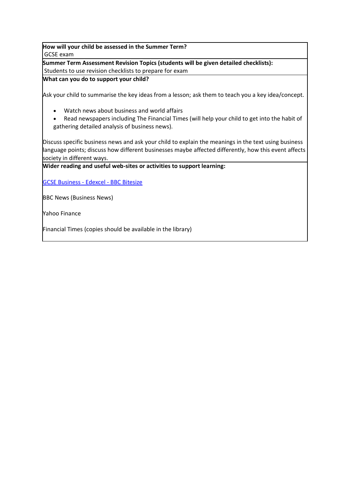**How will your child be assessed in the Summer Term?** GCSE exam

**Summer Term Assessment Revision Topics (students will be given detailed checklists):** Students to use revision checklists to prepare for exam

**What can you do to support your child?**

Ask your child to summarise the key ideas from a lesson; ask them to teach you a key idea/concept.

- Watch news about business and world affairs
- Read newspapers including The Financial Times (will help your child to get into the habit of gathering detailed analysis of business news).

Discuss specific business news and ask your child to explain the meanings in the text using business language points; discuss how different businesses maybe affected differently, how this event affects society in different ways. 

**Wider reading and useful web-sites or activities to support learning:**

[GCSE Business -](https://www.bbc.co.uk/bitesize/examspecs/z98snbk) Edexcel - BBC Bitesize

BBC News (Business News)

Yahoo Finance

Financial Times (copies should be available in the library)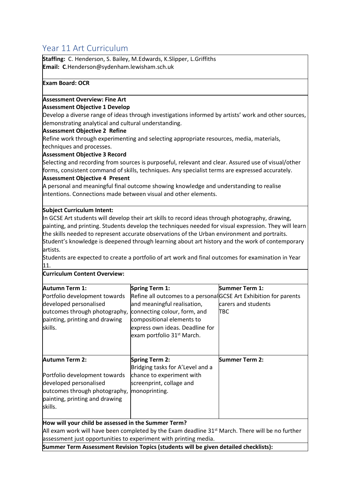## <span id="page-27-0"></span>Year 11 Art Curriculum

**Staffing:** C. Henderson, S. Bailey, M.Edwards, K.Slipper, L.Griffiths **Email: C**.Henderson@sydenham.lewisham.sch.uk

#### **Exam Board: OCR**

#### **Assessment Overview: Fine Art**

#### **Assessment Objective 1 Develop**

Develop a diverse range of ideas through investigations informed by artists' work and other sources, demonstrating analytical and cultural understanding.

#### **Assessment Objective 2 Refine**

Refine work through experimenting and selecting appropriate resources, media, materials, techniques and processes.

#### **Assessment Objective 3 Record**

Selecting and recording from sources is purposeful, relevant and clear. Assured use of visual/other forms, consistent command of skills, techniques. Any specialist terms are expressed accurately.

#### **Assessment Objective 4 Present**

A personal and meaningful final outcome showing knowledge and understanding to realise intentions. Connections made between visual and other elements.

#### **Subject Curriculum Intent:**

In GCSE Art students will develop their art skills to record ideas through photography, drawing, painting, and printing. Students develop the techniques needed for visual expression. They will learn the skills needed to represent accurate observations of the Urban environment and portraits. Student's knowledge is deepened through learning about art history and the work of contemporary artists.

Students are expected to create a portfolio of art work and final outcomes for examination in Year 11.

#### **Curriculum Content Overview:**

| <b>Autumn Term 1:</b>                                                                | Spring Term 1:                                                                                        | <b>Summer Term 1:</b> |
|--------------------------------------------------------------------------------------|-------------------------------------------------------------------------------------------------------|-----------------------|
| Portfolio development towards                                                        | Refine all outcomes to a personal GCSE Art Exhibition for parents                                     |                       |
| developed personalised                                                               | and meaningful realisation,                                                                           | carers and students   |
| outcomes through photography,                                                        | connecting colour, form, and                                                                          | <b>TBC</b>            |
| painting, printing and drawing                                                       | compositional elements to                                                                             |                       |
| skills.                                                                              | express own ideas. Deadline for                                                                       |                       |
|                                                                                      | exam portfolio 31 <sup>st</sup> March.                                                                |                       |
|                                                                                      |                                                                                                       |                       |
|                                                                                      |                                                                                                       |                       |
| <b>Autumn Term 2:</b>                                                                | <b>Spring Term 2:</b>                                                                                 | <b>Summer Term 2:</b> |
|                                                                                      | Bridging tasks for A'Level and a                                                                      |                       |
| Portfolio development towards                                                        | chance to experiment with                                                                             |                       |
| developed personalised                                                               | screenprint, collage and                                                                              |                       |
| outcomes through photography, monoprinting.                                          |                                                                                                       |                       |
| painting, printing and drawing                                                       |                                                                                                       |                       |
| skills.                                                                              |                                                                                                       |                       |
|                                                                                      |                                                                                                       |                       |
| How will your child be assessed in the Summer Term?                                  |                                                                                                       |                       |
|                                                                                      | All exam work will have been completed by the Exam deadline $31^{st}$ March. There will be no further |                       |
| assessment just opportunities to experiment with printing media.                     |                                                                                                       |                       |
| Summer Term Assessment Revision Topics (students will be given detailed checklists): |                                                                                                       |                       |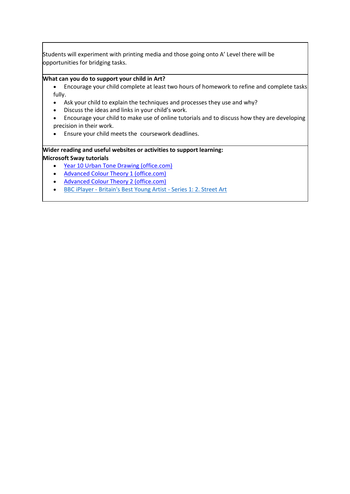Students will experiment with printing media and those going onto A' Level there will be opportunities for bridging tasks.

#### **What can you do to support your child in Art?**

- Encourage your child complete at least two hours of homework to refine and complete tasks fully.
- Ask your child to explain the techniques and processes they use and why?
- Discuss the ideas and links in your child's work.
- Encourage your child to make use of online tutorials and to discuss how they are developing precision in their work.
- Ensure your child meets the coursework deadlines.

#### **Wider reading and useful websites or activities to support learning: Microsoft Sway tutorials**

- [Year 10 Urban Tone Drawing \(office.com\)](https://sway.office.com/FF85BINxZ4aZyYOF)
- [Advanced Colour Theory 1 \(office.com\)](https://sway.office.com/Gwp4BOnxoTDMmFZo)
- [Advanced Colour Theory 2 \(office.com\)](https://sway.office.com/CbBTudCwog17FP8r)
- BBC iPlayer [Britain's Best Young Artist -](https://www.bbc.co.uk/iplayer/episode/m0014984/britains-best-young-artist-series-1-2-street-art) Series 1: 2. Street Art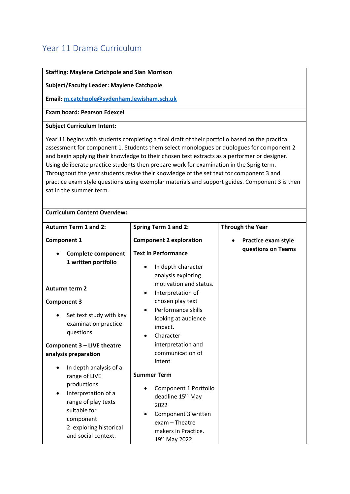## <span id="page-29-0"></span>Year 11 Drama Curriculum

| <b>Staffing: Maylene Catchpole and Sian Morrison</b>                                                                                                                                                                                                                                                                                                                                                                                                                                                                                                                                                                                                  |                                                                                                                                                                                                                             |                                           |  |
|-------------------------------------------------------------------------------------------------------------------------------------------------------------------------------------------------------------------------------------------------------------------------------------------------------------------------------------------------------------------------------------------------------------------------------------------------------------------------------------------------------------------------------------------------------------------------------------------------------------------------------------------------------|-----------------------------------------------------------------------------------------------------------------------------------------------------------------------------------------------------------------------------|-------------------------------------------|--|
|                                                                                                                                                                                                                                                                                                                                                                                                                                                                                                                                                                                                                                                       | <b>Subject/Faculty Leader: Maylene Catchpole</b>                                                                                                                                                                            |                                           |  |
| Email: m.catchpole@sydenham.lewisham.sch.uk                                                                                                                                                                                                                                                                                                                                                                                                                                                                                                                                                                                                           |                                                                                                                                                                                                                             |                                           |  |
| <b>Exam board: Pearson Edexcel</b>                                                                                                                                                                                                                                                                                                                                                                                                                                                                                                                                                                                                                    |                                                                                                                                                                                                                             |                                           |  |
| <b>Subject Curriculum Intent:</b>                                                                                                                                                                                                                                                                                                                                                                                                                                                                                                                                                                                                                     |                                                                                                                                                                                                                             |                                           |  |
| Year 11 begins with students completing a final draft of their portfolio based on the practical<br>assessment for component 1. Students them select monologues or duologues for component 2<br>and begin applying their knowledge to their chosen text extracts as a performer or designer.<br>Using deliberate practice students then prepare work for examination in the Sprig term.<br>Throughout the year students revise their knowledge of the set text for component 3 and<br>practice exam style questions using exemplar materials and support guides. Component 3 is then<br>sat in the summer term.<br><b>Curriculum Content Overview:</b> |                                                                                                                                                                                                                             |                                           |  |
| <b>Autumn Term 1 and 2:</b>                                                                                                                                                                                                                                                                                                                                                                                                                                                                                                                                                                                                                           | <b>Spring Term 1 and 2:</b>                                                                                                                                                                                                 | <b>Through the Year</b>                   |  |
| <b>Component 1</b>                                                                                                                                                                                                                                                                                                                                                                                                                                                                                                                                                                                                                                    | <b>Component 2 exploration</b>                                                                                                                                                                                              | Practice exam style<br>questions on Teams |  |
| <b>Complete component</b><br>1 written portfolio<br><b>Autumn term 2</b><br><b>Component 3</b><br>Set text study with key<br>examination practice<br>questions                                                                                                                                                                                                                                                                                                                                                                                                                                                                                        | <b>Text in Performance</b><br>In depth character<br>analysis exploring<br>motivation and status.<br>Interpretation of<br>$\bullet$<br>chosen play text<br>Performance skills<br>looking at audience<br>impact.<br>Character |                                           |  |
| Component 3 - LIVE theatre<br>analysis preparation<br>In depth analysis of a                                                                                                                                                                                                                                                                                                                                                                                                                                                                                                                                                                          | interpretation and<br>communication of<br>intent                                                                                                                                                                            |                                           |  |
| range of LIVE<br>productions<br>Interpretation of a<br>range of play texts<br>suitable for<br>component<br>2 exploring historical<br>and social context.                                                                                                                                                                                                                                                                                                                                                                                                                                                                                              | <b>Summer Term</b><br>Component 1 Portfolio<br>deadline 15 <sup>th</sup> May<br>2022<br>Component 3 written<br>exam - Theatre<br>makers in Practice.<br>19th May 2022                                                       |                                           |  |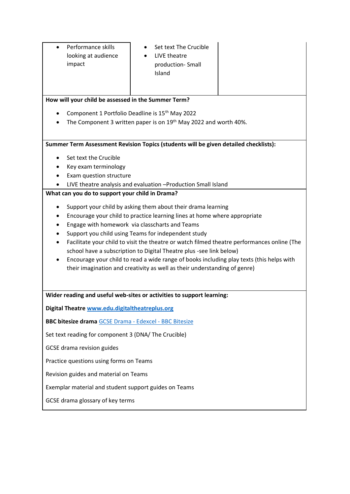- Performance skills looking at audience impact
- Set text The Crucible • LIVE theatre
	- production- Small Island

#### **How will your child be assessed in the Summer Term?**

- Component 1 Portfolio Deadline is 15<sup>th</sup> May 2022
- The Component 3 written paper is on 19<sup>th</sup> May 2022 and worth 40%.

**Summer Term Assessment Revision Topics (students will be given detailed checklists):**

- Set text the Crucible
- Key exam terminology
- Exam question structure
- LIVE theatre analysis and evaluation –Production Small Island

#### **What can you do to support your child in Drama?**

- Support your child by asking them about their drama learning
- Encourage your child to practice learning lines at home where appropriate
- Engage with homework via classcharts and Teams
- Support you child using Teams for independent study
- Facilitate your child to visit the theatre or watch filmed theatre performances online (The school have a subscription to Digital Theatre plus -see link below)
- Encourage your child to read a wide range of books including play texts (this helps with their imagination and creativity as well as their understanding of genre)

**Wider reading and useful web-sites or activities to support learning:**

**Digital Theatre [www.edu.digitaltheatreplus.org](http://www.edu.digitaltheatreplus.org/)**

**BBC bitesize drama** [GCSE Drama -](https://www.bbc.co.uk/bitesize/examspecs/zkvm2sg) Edexcel - BBC Bitesize

Set text reading for component 3 (DNA/ The Crucible)

GCSE drama revision guides

Practice questions using forms on Teams

Revision guides and material on Teams

Exemplar material and student support guides on Teams

GCSE drama glossary of key terms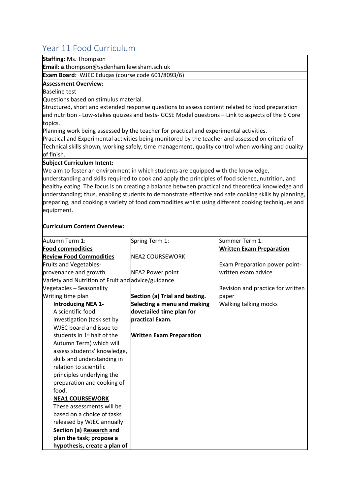## <span id="page-31-0"></span>Year 11 Food Curriculum

**Staffing:** Ms. Thompson

**Email: a**.thompson@sydenham.lewisham.sch.uk

**Exam Board:** WJEC Eduqas (course code 601/8093/6)

#### **Assessment Overview:**

Baseline test

Questions based on stimulus material.

Structured, short and extended response questions to assess content related to food preparation and nutrition - Low-stakes quizzes and tests- GCSE Model questions – Link to aspects of the 6 Core topics.

Planning work being assessed by the teacher for practical and experimental activities.

Practical and Experimental activities being monitored by the teacher and assessed on criteria of Technical skills shown, working safely, time management, quality control when working and quality of finish.

#### **Subject Curriculum Intent:**

We aim to foster an environment in which students are equipped with the knowledge, understanding and skills required to cook and apply the principles of food science, nutrition, and

healthy eating. The focus is on creating a balance between practical and theoretical knowledge and understanding; thus, enabling students to demonstrate effective and safe cooking skills by planning, preparing, and cooking a variety of food commodities whilst using different cooking techniques and equipment.

#### **Curriculum Content Overview:**

| Autumn Term 1:                                     | Spring Term 1:                  | Summer Term 1:                    |
|----------------------------------------------------|---------------------------------|-----------------------------------|
| <b>Food commodities</b>                            |                                 | <b>Written Exam Preparation</b>   |
| <b>Review Food Commodities</b>                     | <b>NEA2 COURSEWORK</b>          |                                   |
| Fruits and Vegetables-                             |                                 | Exam Preparation power point-     |
| provenance and growth                              | <b>NEA2 Power point</b>         | written exam advice               |
| Variety and Nutrition of Fruit and advice/guidance |                                 |                                   |
| Vegetables - Seasonality                           |                                 | Revision and practice for written |
| Writing time plan                                  | Section (a) Trial and testing.  | paper                             |
| <b>Introducing NEA 1-</b>                          | Selecting a menu and making     | Walking talking mocks             |
| A scientific food                                  | dovetailed time plan for        |                                   |
| investigation (task set by                         | <b>lpractical Exam.</b>         |                                   |
| WJEC board and issue to                            |                                 |                                   |
| students in 1 <sup>st</sup> half of the            | <b>Written Exam Preparation</b> |                                   |
| Autumn Term) which will                            |                                 |                                   |
| assess students' knowledge,                        |                                 |                                   |
| skills and understanding in                        |                                 |                                   |
| relation to scientific                             |                                 |                                   |
| principles underlying the                          |                                 |                                   |
| preparation and cooking of                         |                                 |                                   |
| food.                                              |                                 |                                   |
| <b>NEA1 COURSEWORK</b>                             |                                 |                                   |
| These assessments will be                          |                                 |                                   |
| based on a choice of tasks                         |                                 |                                   |
| released by WJEC annually                          |                                 |                                   |
| Section (a) Research and                           |                                 |                                   |
| plan the task; propose a                           |                                 |                                   |
| hypothesis, create a plan of                       |                                 |                                   |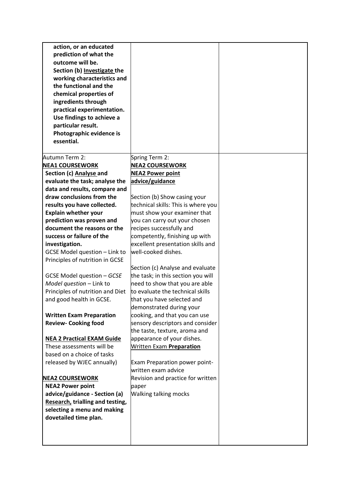| action, or an educated<br>prediction of what the<br>outcome will be.<br>Section (b) Investigate the<br>working characteristics and<br>the functional and the<br>chemical properties of<br>ingredients through<br>practical experimentation.<br>Use findings to achieve a<br>particular result.<br>Photographic evidence is<br>essential. |                                                                   |  |
|------------------------------------------------------------------------------------------------------------------------------------------------------------------------------------------------------------------------------------------------------------------------------------------------------------------------------------------|-------------------------------------------------------------------|--|
| Autumn Term 2:                                                                                                                                                                                                                                                                                                                           | Spring Term 2:                                                    |  |
| <b>NEA1 COURSEWORK</b>                                                                                                                                                                                                                                                                                                                   | <b>NEA2 COURSEWORK</b>                                            |  |
| Section (c) Analyse and                                                                                                                                                                                                                                                                                                                  | <b>NEA2 Power point</b>                                           |  |
| evaluate the task; analyse the<br>data and results, compare and                                                                                                                                                                                                                                                                          | advice/guidance                                                   |  |
| draw conclusions from the                                                                                                                                                                                                                                                                                                                | Section (b) Show casing your                                      |  |
| results you have collected.                                                                                                                                                                                                                                                                                                              | technical skills: This is where you                               |  |
| <b>Explain whether your</b>                                                                                                                                                                                                                                                                                                              | must show your examiner that                                      |  |
| prediction was proven and                                                                                                                                                                                                                                                                                                                | you can carry out your chosen                                     |  |
| document the reasons or the                                                                                                                                                                                                                                                                                                              | recipes successfully and                                          |  |
| success or failure of the                                                                                                                                                                                                                                                                                                                | competently, finishing up with                                    |  |
| investigation.                                                                                                                                                                                                                                                                                                                           | excellent presentation skills and                                 |  |
| GCSE Model question - Link to                                                                                                                                                                                                                                                                                                            | well-cooked dishes.                                               |  |
| Principles of nutrition in GCSE                                                                                                                                                                                                                                                                                                          |                                                                   |  |
|                                                                                                                                                                                                                                                                                                                                          | Section (c) Analyse and evaluate                                  |  |
| GCSE Model question - GCSE                                                                                                                                                                                                                                                                                                               | the task; in this section you will                                |  |
| Model question - Link to                                                                                                                                                                                                                                                                                                                 | need to show that you are able                                    |  |
| Principles of nutrition and Diet                                                                                                                                                                                                                                                                                                         | to evaluate the technical skills                                  |  |
| and good health in GCSE.                                                                                                                                                                                                                                                                                                                 | that you have selected and                                        |  |
|                                                                                                                                                                                                                                                                                                                                          | demonstrated during your                                          |  |
| <b>Written Exam Preparation</b><br><b>Review- Cooking food</b>                                                                                                                                                                                                                                                                           | cooking, and that you can use                                     |  |
|                                                                                                                                                                                                                                                                                                                                          | sensory descriptors and consider<br>the taste, texture, aroma and |  |
| <b>NEA 2 Practical EXAM Guide</b>                                                                                                                                                                                                                                                                                                        | appearance of your dishes.                                        |  |
| These assessments will be                                                                                                                                                                                                                                                                                                                | <b>Written Exam Preparation</b>                                   |  |
| based on a choice of tasks                                                                                                                                                                                                                                                                                                               |                                                                   |  |
| released by WJEC annually)                                                                                                                                                                                                                                                                                                               | Exam Preparation power point-                                     |  |
|                                                                                                                                                                                                                                                                                                                                          | written exam advice                                               |  |
| <b>NEA2 COURSEWORK</b>                                                                                                                                                                                                                                                                                                                   | Revision and practice for written                                 |  |
| <b>NEA2 Power point</b>                                                                                                                                                                                                                                                                                                                  | paper                                                             |  |
| advice/guidance - Section (a)                                                                                                                                                                                                                                                                                                            | <b>Walking talking mocks</b>                                      |  |
| Research, trialling and testing,                                                                                                                                                                                                                                                                                                         |                                                                   |  |
| selecting a menu and making                                                                                                                                                                                                                                                                                                              |                                                                   |  |
| dovetailed time plan.                                                                                                                                                                                                                                                                                                                    |                                                                   |  |
|                                                                                                                                                                                                                                                                                                                                          |                                                                   |  |
|                                                                                                                                                                                                                                                                                                                                          |                                                                   |  |
|                                                                                                                                                                                                                                                                                                                                          |                                                                   |  |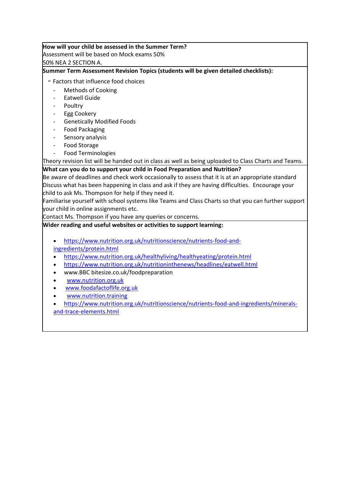#### **How will your child be assessed in the Summer Term?**

Assessment will be based on Mock exams 50%

50% NEA 2 SECTION A.

#### **Summer Term Assessment Revision Topics (students will be given detailed checklists):**

- Factors that influence food choices

- Methods of Cooking
- Eatwell Guide
- **Poultry**
- Egg Cookery
- Genetically Modified Foods
- Food Packaging
- Sensory analysis
- Food Storage
- Food Terminologies

Theory revision list will be handed out in class as well as being uploaded to Class Charts and Teams.

#### **What can you do to support your child in Food Preparation and Nutrition?**

Be aware of deadlines and check work occasionally to assess that it is at an appropriate standard Discuss what has been happening in class and ask if they are having difficulties. Encourage your child to ask Ms. Thompson for help if they need it.

Familiarise yourself with school systems like Teams and Class Charts so that you can further support your child in online assignments etc.

Contact Ms. Thompson if you have any queries or concerns.

#### **Wider reading and useful websites or activities to support learning:**

- [https://www.nutrition.org.uk/nutritionscience/nutrients-food-and](https://www.nutrition.org.uk/nutritionscience/nutrients-food-and-ingredients/protein.html)[ingredients/protein.html](https://www.nutrition.org.uk/nutritionscience/nutrients-food-and-ingredients/protein.html)
- <https://www.nutrition.org.uk/healthyliving/healthyeating/protein.html>
- <https://www.nutrition.org.uk/nutritioninthenews/headlines/eatwell.html>
- www.BBC bitesize.co.uk/foodpreparation
- [www.nutrition.org.uk](http://www.nutrition.org.uk/)
- [www.foodafactoflife.org.uk](http://www.foodafactoflife.org.uk/)
- [www.nutrition.training](http://www.nutrition.training/)
- [https://www.nutrition.org.uk/nutritionscience/nutrients-food-and-ingredients/minerals](https://www.nutrition.org.uk/nutritionscience/nutrients-food-and-ingredients/minerals-and-trace-elements.html)[and-trace-elements.html](https://www.nutrition.org.uk/nutritionscience/nutrients-food-and-ingredients/minerals-and-trace-elements.html)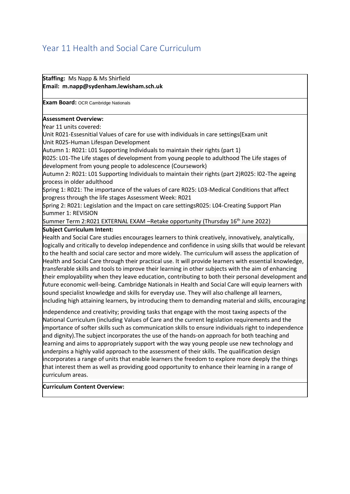## <span id="page-34-0"></span>Year 11 Health and Social Care Curriculum

**Staffing:** Ms Napp & Ms Shirfield **Email: m.napp@sydenham.lewisham.sch.uk**

**Exam Board:** OCR Cambridge Nationals

#### **Assessment Overview:**

Year 11 units covered:

Unit R021-Essesnitial Values of care for use with individuals in care settings(Exam unit Unit R025-Human Lifespan Development

Autumn 1: R021: L01 Supporting Individuals to maintain their rights (part 1)

R025: L01-The Life stages of development from young people to adulthood The Life stages of development from young people to adolescence (Coursework)

Autumn 2: R021: L01 Supporting Individuals to maintain their rights (part 2)R025: l02-The ageing process in older adulthood

Spring 1: R021: The importance of the values of care R025: L03-Medical Conditions that affect progress through the life stages Assessment Week: R021

Spring 2: R021: Legislation and the Impact on care settingsR025: L04-Creating Support Plan Summer 1: REVISION

Summer Term 2:R021 EXTERNAL EXAM –Retake opportunity (Thursday 16th June 2022)

#### **Subject Curriculum Intent:**

Health and Social Care studies encourages learners to think creatively, innovatively, analytically, logically and critically to develop independence and confidence in using skills that would be relevant to the health and social care sector and more widely. The curriculum will assess the application of Health and Social Care through their practical use. It will provide learners with essential knowledge, transferable skills and tools to improve their learning in other subjects with the aim of enhancing their employability when they leave education, contributing to both their personal development and future economic well-being. Cambridge Nationals in Health and Social Care will equip learners with sound specialist knowledge and skills for everyday use. They will also challenge all learners, including high attaining learners, by introducing them to demanding material and skills, encouraging

independence and creativity; providing tasks that engage with the most taxing aspects of the National Curriculum (including Values of Care and the current legislation requirements and the importance of softer skills such as communication skills to ensure individuals right to independence and dignity).The subject incorporates the use of the hands-on approach for both teaching and learning and aims to appropriately support with the way young people use new technology and underpins a highly valid approach to the assessment of their skills. The qualification design incorporates a range of units that enable learners the freedom to explore more deeply the things that interest them as well as providing good opportunity to enhance their learning in a range of curriculum areas.

#### **Curriculum Content Overview:**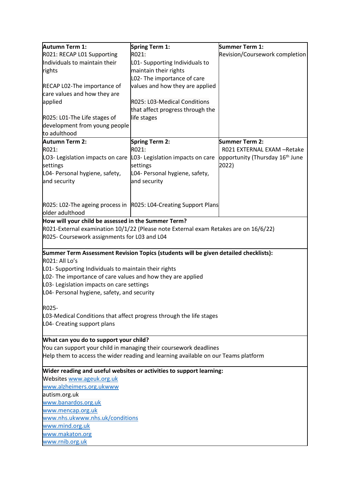| Autumn Term 1:                                                      | Spring Term 1:                                                                       | Summer Term 1:                              |  |  |
|---------------------------------------------------------------------|--------------------------------------------------------------------------------------|---------------------------------------------|--|--|
| R021: RECAP L01 Supporting                                          | R021:                                                                                | Revision/Coursework completion              |  |  |
| Individuals to maintain their                                       | L01- Supporting Individuals to                                                       |                                             |  |  |
| rights                                                              | maintain their rights                                                                |                                             |  |  |
|                                                                     | L02- The importance of care                                                          |                                             |  |  |
| RECAP L02-The importance of                                         | values and how they are applied                                                      |                                             |  |  |
| care values and how they are                                        |                                                                                      |                                             |  |  |
| applied                                                             | R025: L03-Medical Conditions                                                         |                                             |  |  |
|                                                                     | that affect progress through the                                                     |                                             |  |  |
| R025: L01-The Life stages of                                        | life stages                                                                          |                                             |  |  |
| development from young people                                       |                                                                                      |                                             |  |  |
| to adulthood                                                        |                                                                                      |                                             |  |  |
| Autumn Term 2:                                                      | Spring Term 2:                                                                       | Summer Term 2:                              |  |  |
| R021:                                                               | R021:                                                                                | R021 EXTERNAL EXAM -Retake                  |  |  |
| LO3- Legislation impacts on care                                    | L03- Legislation impacts on care                                                     | opportunity (Thursday 16 <sup>th</sup> June |  |  |
| settings                                                            | settings                                                                             | 2022)                                       |  |  |
| L04- Personal hygiene, safety,                                      | L04- Personal hygiene, safety,                                                       |                                             |  |  |
| and security                                                        | and security                                                                         |                                             |  |  |
|                                                                     |                                                                                      |                                             |  |  |
|                                                                     |                                                                                      |                                             |  |  |
|                                                                     | R025: L02-The ageing process in R025: L04-Creating Support Plans                     |                                             |  |  |
| older adulthood                                                     |                                                                                      |                                             |  |  |
| How will your child be assessed in the Summer Term?                 |                                                                                      |                                             |  |  |
|                                                                     | R021-External examination 10/1/22 (Please note External exam Retakes are on 16/6/22) |                                             |  |  |
| R025- Coursework assignments for L03 and L04                        |                                                                                      |                                             |  |  |
|                                                                     |                                                                                      |                                             |  |  |
|                                                                     | Summer Term Assessment Revision Topics (students will be given detailed checklists): |                                             |  |  |
| R021: All Lo's                                                      |                                                                                      |                                             |  |  |
| L01- Supporting Individuals to maintain their rights                |                                                                                      |                                             |  |  |
| L02- The importance of care values and how they are applied         |                                                                                      |                                             |  |  |
| L03- Legislation impacts on care settings                           |                                                                                      |                                             |  |  |
| L04- Personal hygiene, safety, and security                         |                                                                                      |                                             |  |  |
|                                                                     |                                                                                      |                                             |  |  |
| R025-                                                               |                                                                                      |                                             |  |  |
| L03-Medical Conditions that affect progress through the life stages |                                                                                      |                                             |  |  |
| L04- Creating support plans                                         |                                                                                      |                                             |  |  |
|                                                                     |                                                                                      |                                             |  |  |
|                                                                     | What can you do to support your child?                                               |                                             |  |  |
|                                                                     | You can support your child in managing their coursework deadlines                    |                                             |  |  |
|                                                                     | Help them to access the wider reading and learning available on our Teams platform   |                                             |  |  |
|                                                                     | Wider reading and useful websites or activities to support learning:                 |                                             |  |  |
| Websites www.ageuk.org.uk                                           |                                                                                      |                                             |  |  |
| www.alzheimers.org.ukwww                                            |                                                                                      |                                             |  |  |
| autism.org.uk                                                       |                                                                                      |                                             |  |  |
| www.banardos.org.uk                                                 |                                                                                      |                                             |  |  |
| www.mencap.org.uk                                                   |                                                                                      |                                             |  |  |
| www.nhs.ukwww.nhs.uk/conditions                                     |                                                                                      |                                             |  |  |
| www.mind.org.uk                                                     |                                                                                      |                                             |  |  |
| www.makaton.org                                                     |                                                                                      |                                             |  |  |
| www.rnib.org.uk                                                     |                                                                                      |                                             |  |  |
|                                                                     |                                                                                      |                                             |  |  |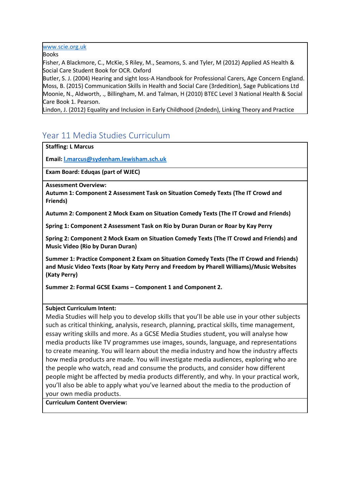[www.scie.org.uk](http://www.scie.org.uk/)

Books

Fisher, A Blackmore, C., McKie, S Riley, M., Seamons, S. and Tyler, M (2012) Applied AS Health & Social Care Student Book for OCR. Oxford

Butler, S. J. (2004) Hearing and sight loss-A Handbook for Professional Carers, Age Concern England. Moss, B. (2015) Communication Skills in Health and Social Care (3rdedition), Sage Publications Ltd Moonie, N., Aldworth, ., Billingham, M. and Talman, H (2010) BTEC Level 3 National Health & Social Care Book 1. Pearson.

Lindon, J. (2012) Equality and Inclusion in Early Childhood (2ndedn), Linking Theory and Practice

## <span id="page-36-0"></span>Year 11 Media Studies Curriculum

**Staffing: L Marcus**

**Email[: l.marcus@sydenham.lewisham.sch.uk](mailto:l.marcus@sydenham.lewisham.sch.uk)**

**Exam Board: Eduqas (part of WJEC)**

**Assessment Overview:** 

**Autumn 1: Component 2 Assessment Task on Situation Comedy Texts (The IT Crowd and Friends)**

**Autumn 2: Component 2 Mock Exam on Situation Comedy Texts (The IT Crowd and Friends)**

**Spring 1: Component 2 Assessment Task on Rio by Duran Duran or Roar by Kay Perry**

**Spring 2: Component 2 Mock Exam on Situation Comedy Texts (The IT Crowd and Friends) and Music Video (Rio by Duran Duran)**

**Summer 1: Practice Component 2 Exam on Situation Comedy Texts (The IT Crowd and Friends) and Music Video Texts (Roar by Katy Perry and Freedom by Pharell Williams)/Music Websites (Katy Perry)**

**Summer 2: Formal GCSE Exams – Component 1 and Component 2.**

#### **Subject Curriculum Intent:**

Media Studies will help you to develop skills that you'll be able use in your other subjects such as critical thinking, analysis, research, planning, practical skills, time management, essay writing skills and more. As a GCSE Media Studies student, you will analyse how media products like TV programmes use images, sounds, language, and representations to create meaning. You will learn about the media industry and how the industry affects how media products are made. You will investigate media audiences, exploring who are the people who watch, read and consume the products, and consider how different people might be affected by media products differently, and why. In your practical work, you'll also be able to apply what you've learned about the media to the production of your own media products.

**Curriculum Content Overview:**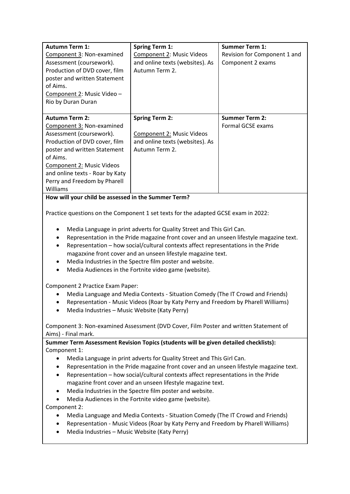| <b>Autumn Term 1:</b><br>Component 3: Non-examined<br>Assessment (coursework).<br>Production of DVD cover, film<br>poster and written Statement<br>of Aims.<br>Component 2: Music Video -<br>Rio by Duran Duran                                                                                                                                                                                                                                                                                                                                              | <b>Spring Term 1:</b><br>Component 2: Music Videos<br>and online texts (websites). As<br>Autumn Term 2.        | <b>Summer Term 1:</b><br>Revision for Component 1 and<br>Component 2 exams |
|--------------------------------------------------------------------------------------------------------------------------------------------------------------------------------------------------------------------------------------------------------------------------------------------------------------------------------------------------------------------------------------------------------------------------------------------------------------------------------------------------------------------------------------------------------------|----------------------------------------------------------------------------------------------------------------|----------------------------------------------------------------------------|
| <b>Autumn Term 2:</b><br>Component 3: Non-examined<br>Assessment (coursework).<br>Production of DVD cover, film<br>poster and written Statement<br>of Aims.<br>Component 2: Music Videos<br>and online texts - Roar by Katy<br>Perry and Freedom by Pharell<br>Williams                                                                                                                                                                                                                                                                                      | <b>Spring Term 2:</b><br><b>Component 2: Music Videos</b><br>and online texts (websites). As<br>Autumn Term 2. | <b>Summer Term 2:</b><br><b>Formal GCSE exams</b>                          |
| How will your child be assessed in the Summer Term?                                                                                                                                                                                                                                                                                                                                                                                                                                                                                                          |                                                                                                                |                                                                            |
| Practice questions on the Component 1 set texts for the adapted GCSE exam in 2022:<br>Media Language in print adverts for Quality Street and This Girl Can.<br>٠<br>Representation in the Pride magazine front cover and an unseen lifestyle magazine text.<br>٠<br>Representation - how social/cultural contexts affect representations in the Pride<br>magazxine front cover and an unseen lifestyle magazine text.<br>Media Industries in the Spectre film poster and website.<br>٠<br>Media Audiences in the Fortnite video game (website).<br>$\bullet$ |                                                                                                                |                                                                            |
| Component 2 Practice Exam Paper:<br>Media Language and Media Contexts - Situation Comedy (The IT Crowd and Friends)<br>٠<br>Representation - Music Videos (Roar by Katy Perry and Freedom by Pharell Williams)<br>٠<br>Media Industries - Music Website (Katy Perry)<br>$\bullet$<br>Component 3: Non-examined Assessment (DVD Cover, Film Poster and written Statement of                                                                                                                                                                                   |                                                                                                                |                                                                            |
| Aims) - Final mark.                                                                                                                                                                                                                                                                                                                                                                                                                                                                                                                                          |                                                                                                                |                                                                            |

**Summer Term Assessment Revision Topics (students will be given detailed checklists):** Component 1:

- Media Language in print adverts for Quality Street and This Girl Can.
- Representation in the Pride magazine front cover and an unseen lifestyle magazine text.
- Representation how social/cultural contexts affect representations in the Pride magazine front cover and an unseen lifestyle magazine text.
- Media Industries in the Spectre film poster and website.
- Media Audiences in the Fortnite video game (website).

Component 2:

- Media Language and Media Contexts Situation Comedy (The IT Crowd and Friends)
- Representation Music Videos (Roar by Katy Perry and Freedom by Pharell Williams)
- Media Industries Music Website (Katy Perry)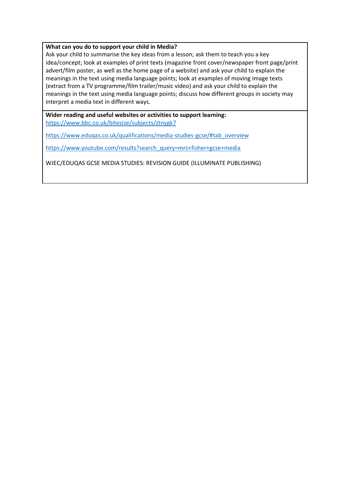#### **What can you do to support your child in Media?**

Ask your child to summarise the key ideas from a lesson; ask them to teach you a key idea/concept; look at examples of print texts (magazine front cover/newspaper front page/print advert/film poster, as well as the home page of a website) and ask your child to explain the meanings in the text using media language points; look at examples of moving image texts (extract from a TV programme/film trailer/music video) and ask your child to explain the meanings in the text using media language points; discuss how different groups in society may interpret a media text in different ways.

**Wider reading and useful websites or activities to support learning:** <https://www.bbc.co.uk/bitesize/subjects/ztnygk7>

[https://www.eduqas.co.uk/qualifications/media-studies-gcse/#tab\\_overview](https://www.eduqas.co.uk/qualifications/media-studies-gcse/#tab_overview)

[https://www.youtube.com/results?search\\_query=mrs+fisher+gcse+media](https://www.youtube.com/results?search_query=mrs+fisher+gcse+media)

WJEC/EDUQAS GCSE MEDIA STUDIES: REVISION GUIDE (ILLUMINATE PUBLISHING)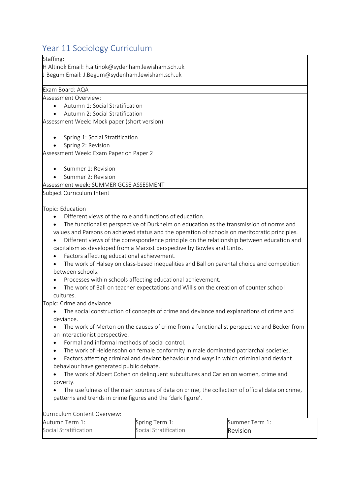## <span id="page-39-0"></span>Year 11 Sociology Curriculum

#### Staffing:

H Altinok Email: h.altinok@sydenham.lewisham.sch.uk J Begum Email: J.Begum@sydenham.lewisham.sch.uk

#### Exam Board: AQA

Assessment Overview:

- Autumn 1: Social Stratification
- Autumn 2: Social Stratification

Assessment Week: Mock paper (short version)

- Spring 1: Social Stratification
- Spring 2: Revision

Assessment Week: Exam Paper on Paper 2

- Summer 1: Revision
- Summer 2: Revision

Assessment week: SUMMER GCSE ASSESMENT

Subject Curriculum Intent

Topic: Education

- Different views of the role and functions of education.
- The functionalist perspective of Durkheim on education as the transmission of norms and values and Parsons on achieved status and the operation of schools on meritocratic principles.
- Different views of the correspondence principle on the relationship between education and capitalism as developed from a Marxist perspective by Bowles and Gintis.
- Factors affecting educational achievement.
- The work of Halsey on class-based inequalities and Ball on parental choice and competition between schools.
- Processes within schools affecting educational achievement.
- The work of Ball on teacher expectations and Willis on the creation of counter school cultures.

Topic: Crime and deviance

- The social construction of concepts of crime and deviance and explanations of crime and deviance.
- The work of Merton on the causes of crime from a functionalist perspective and Becker from an interactionist perspective.
- Formal and informal methods of social control.
- The work of Heidensohn on female conformity in male dominated patriarchal societies.
- Factors affecting criminal and deviant behaviour and ways in which criminal and deviant behaviour have generated public debate.
- The work of Albert Cohen on delinquent subcultures and Carlen on women, crime and poverty.
- The usefulness of the main sources of data on crime, the collection of official data on crime, patterns and trends in crime figures and the 'dark figure'.

| Curriculum Content Overview: |                       |                       |
|------------------------------|-----------------------|-----------------------|
| Autumn Term 1:               | Spring Term 1:        | <b>Summer Term 1:</b> |
| Social Stratification        | Social Stratification | Revision              |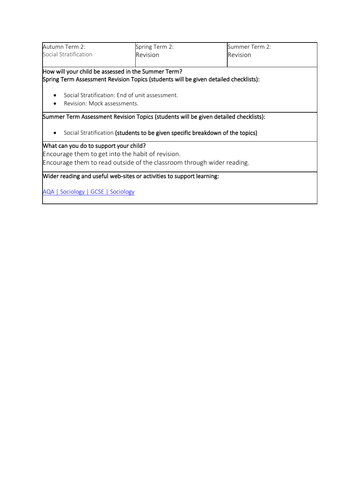| Autumn Term 2:                                                                       | Spring Term 2:                                                                       | Summer Term 2: |  |  |
|--------------------------------------------------------------------------------------|--------------------------------------------------------------------------------------|----------------|--|--|
| Social Stratification                                                                | Revision                                                                             | Revision       |  |  |
|                                                                                      |                                                                                      |                |  |  |
| How will your child be assessed in the Summer Term?                                  |                                                                                      |                |  |  |
| Spring Term Assessment Revision Topics (students will be given detailed checklists): |                                                                                      |                |  |  |
| Social Stratification: End of unit assessment.                                       |                                                                                      |                |  |  |
| Revision: Mock assessments.                                                          |                                                                                      |                |  |  |
|                                                                                      | Summer Term Assessment Revision Topics (students will be given detailed checklists): |                |  |  |
|                                                                                      |                                                                                      |                |  |  |
|                                                                                      | Social Stratification (students to be given specific breakdown of the topics)        |                |  |  |
| What can you do to support your child?                                               |                                                                                      |                |  |  |
| Encourage them to get into the habit of revision.                                    |                                                                                      |                |  |  |
| Encourage them to read outside of the classroom through wider reading.               |                                                                                      |                |  |  |
| Wider reading and useful web-sites or activities to support learning:                |                                                                                      |                |  |  |
| AQA   Sociology   GCSE   Sociology                                                   |                                                                                      |                |  |  |

 $\mathbf{I}$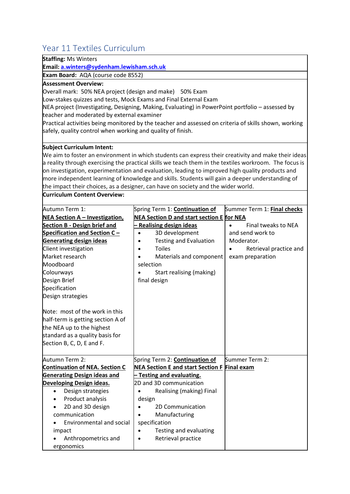## <span id="page-41-0"></span>Year 11 Textiles Curriculum

| redi II Textiles Curriculum                                                                                                                                                                                                                                              |                                                                                                                                                                                                           |                             |
|--------------------------------------------------------------------------------------------------------------------------------------------------------------------------------------------------------------------------------------------------------------------------|-----------------------------------------------------------------------------------------------------------------------------------------------------------------------------------------------------------|-----------------------------|
| <b>Staffing: Ms Winters</b>                                                                                                                                                                                                                                              |                                                                                                                                                                                                           |                             |
| Email: a.winters@sydenham.lewisham.sch.uk                                                                                                                                                                                                                                |                                                                                                                                                                                                           |                             |
| Exam Board: AQA (course code 8552)                                                                                                                                                                                                                                       |                                                                                                                                                                                                           |                             |
| <b>Assessment Overview:</b><br>Overall mark: 50% NEA project (design and make) 50% Exam<br>Low-stakes quizzes and tests, Mock Exams and Final External Exam<br>teacher and moderated by external examiner<br>safely, quality control when working and quality of finish. | NEA project (Investigating, Designing, Making, Evaluating) in PowerPoint portfolio - assessed by<br>Practical activities being monitored by the teacher and assessed on criteria of skills shown, working |                             |
| <b>Subject Curriculum Intent:</b>                                                                                                                                                                                                                                        |                                                                                                                                                                                                           |                             |
|                                                                                                                                                                                                                                                                          | We aim to foster an environment in which students can express their creativity and make their ideas                                                                                                       |                             |
|                                                                                                                                                                                                                                                                          | a reality through exercising the practical skills we teach them in the textiles workroom. The focus is                                                                                                    |                             |
|                                                                                                                                                                                                                                                                          | on investigation, experimentation and evaluation, leading to improved high quality products and                                                                                                           |                             |
|                                                                                                                                                                                                                                                                          | more independent learning of knowledge and skills. Students will gain a deeper understanding of                                                                                                           |                             |
|                                                                                                                                                                                                                                                                          | the impact their choices, as a designer, can have on society and the wider world.                                                                                                                         |                             |
| <b>Curriculum Content Overview:</b>                                                                                                                                                                                                                                      |                                                                                                                                                                                                           |                             |
| Autumn Term 1:                                                                                                                                                                                                                                                           | Spring Term 1: <b>Continuation of</b>                                                                                                                                                                     | Summer Term 1: Final checks |
| <b>NEA Section A - Investigation,</b>                                                                                                                                                                                                                                    | NEA Section D and start section E for NEA                                                                                                                                                                 |                             |
| <b>Section B - Design brief and</b>                                                                                                                                                                                                                                      | <b>Realising design ideas</b>                                                                                                                                                                             | Final tweaks to NEA         |
| Specification and Section C-                                                                                                                                                                                                                                             | 3D development<br>$\bullet$                                                                                                                                                                               | and send work to            |
| <b>Generating design ideas</b>                                                                                                                                                                                                                                           | <b>Testing and Evaluation</b>                                                                                                                                                                             | Moderator.                  |
| Client investigation                                                                                                                                                                                                                                                     | <b>Toiles</b>                                                                                                                                                                                             | Retrieval practice and      |
| Market research                                                                                                                                                                                                                                                          | Materials and component                                                                                                                                                                                   | exam preparation            |
| Moodboard                                                                                                                                                                                                                                                                | selection                                                                                                                                                                                                 |                             |
| Colourways                                                                                                                                                                                                                                                               | Start realising (making)                                                                                                                                                                                  |                             |
| Design Brief                                                                                                                                                                                                                                                             | final design                                                                                                                                                                                              |                             |
| Specification                                                                                                                                                                                                                                                            |                                                                                                                                                                                                           |                             |
| Design strategies                                                                                                                                                                                                                                                        |                                                                                                                                                                                                           |                             |
| Note: most of the work in this                                                                                                                                                                                                                                           |                                                                                                                                                                                                           |                             |
| half-term is getting section A of                                                                                                                                                                                                                                        |                                                                                                                                                                                                           |                             |
| the NEA up to the highest                                                                                                                                                                                                                                                |                                                                                                                                                                                                           |                             |
| standard as a quality basis for                                                                                                                                                                                                                                          |                                                                                                                                                                                                           |                             |
| Section B, C, D, E and F.                                                                                                                                                                                                                                                |                                                                                                                                                                                                           |                             |
| Autumn Term 2:                                                                                                                                                                                                                                                           | Spring Term 2: <b>Continuation of</b>                                                                                                                                                                     | Summer Term 2:              |
| <b>Continuation of NEA. Section C</b>                                                                                                                                                                                                                                    | <b>NEA Section E and start Section F Final exam</b>                                                                                                                                                       |                             |
| <b>Generating Design ideas and</b>                                                                                                                                                                                                                                       | <b>Testing and evaluating.</b>                                                                                                                                                                            |                             |
| Developing Design ideas.                                                                                                                                                                                                                                                 | 2D and 3D communication                                                                                                                                                                                   |                             |
| Design strategies<br>$\bullet$                                                                                                                                                                                                                                           | Realising (making) Final                                                                                                                                                                                  |                             |
| Product analysis<br>$\bullet$                                                                                                                                                                                                                                            | design                                                                                                                                                                                                    |                             |
| 2D and 3D design                                                                                                                                                                                                                                                         | 2D Communication                                                                                                                                                                                          |                             |
| communication                                                                                                                                                                                                                                                            | Manufacturing                                                                                                                                                                                             |                             |
| <b>Environmental and social</b>                                                                                                                                                                                                                                          | specification                                                                                                                                                                                             |                             |
| impact                                                                                                                                                                                                                                                                   | Testing and evaluating                                                                                                                                                                                    |                             |
| Anthropometrics and                                                                                                                                                                                                                                                      | Retrieval practice                                                                                                                                                                                        |                             |
| ergonomics                                                                                                                                                                                                                                                               |                                                                                                                                                                                                           |                             |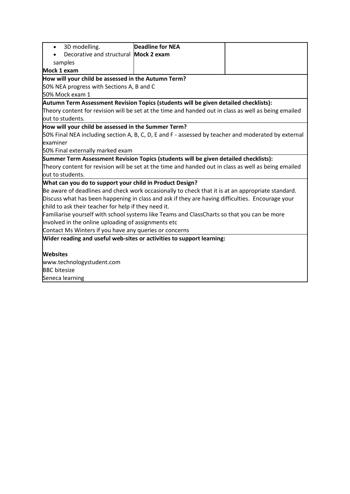| 3D modelling.<br>$\bullet$                                                                           | <b>Deadline for NEA</b> |  |
|------------------------------------------------------------------------------------------------------|-------------------------|--|
| Decorative and structural Mock 2 exam                                                                |                         |  |
| samples                                                                                              |                         |  |
| Mock 1 exam                                                                                          |                         |  |
| How will your child be assessed in the Autumn Term?                                                  |                         |  |
| 50% NEA progress with Sections A, B and C                                                            |                         |  |
| 50% Mock exam 1                                                                                      |                         |  |
| Autumn Term Assessment Revision Topics (students will be given detailed checklists):                 |                         |  |
| Theory content for revision will be set at the time and handed out in class as well as being emailed |                         |  |
| out to students.                                                                                     |                         |  |
| How will your child be assessed in the Summer Term?                                                  |                         |  |
| 50% Final NEA including section A, B, C, D, E and F - assessed by teacher and moderated by external  |                         |  |
| examiner                                                                                             |                         |  |
| 50% Final externally marked exam                                                                     |                         |  |
| Summer Term Assessment Revision Topics (students will be given detailed checklists):                 |                         |  |
| Theory content for revision will be set at the time and handed out in class as well as being emailed |                         |  |
| out to students.                                                                                     |                         |  |
| What can you do to support your child in Product Design?                                             |                         |  |
| Be aware of deadlines and check work occasionally to check that it is at an appropriate standard.    |                         |  |
| Discuss what has been happening in class and ask if they are having difficulties. Encourage your     |                         |  |
| child to ask their teacher for help if they need it.                                                 |                         |  |
| Familiarise yourself with school systems like Teams and ClassCharts so that you can be more          |                         |  |
| involved in the online uploading of assignments etc                                                  |                         |  |
| Contact Ms Winters if you have any queries or concerns                                               |                         |  |
| Wider reading and useful web-sites or activities to support learning:                                |                         |  |
|                                                                                                      |                         |  |
| <b>Websites</b>                                                                                      |                         |  |
| www.technologystudent.com                                                                            |                         |  |
| <b>BBC</b> bitesize                                                                                  |                         |  |
| Seneca learning                                                                                      |                         |  |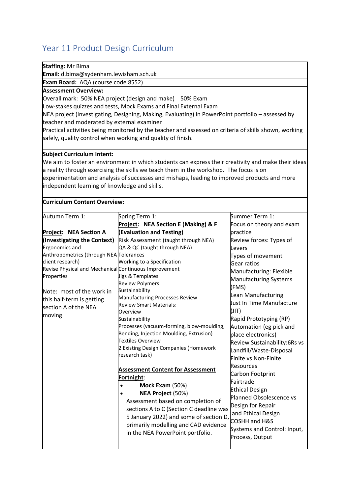# <span id="page-43-0"></span>Year 11 Product Design Curriculum

| Staffing: Mr Bima                                           |                                                                                                       |                              |  |
|-------------------------------------------------------------|-------------------------------------------------------------------------------------------------------|------------------------------|--|
| Email: d.bima@sydenham.lewisham.sch.uk                      |                                                                                                       |                              |  |
| Exam Board: AQA (course code 8552)                          |                                                                                                       |                              |  |
| <b>Assessment Overview:</b>                                 |                                                                                                       |                              |  |
|                                                             | Overall mark: 50% NEA project (design and make) 50% Exam                                              |                              |  |
|                                                             | Low-stakes quizzes and tests, Mock Exams and Final External Exam                                      |                              |  |
|                                                             | NEA project (Investigating, Designing, Making, Evaluating) in PowerPoint portfolio - assessed by      |                              |  |
| teacher and moderated by external examiner                  |                                                                                                       |                              |  |
|                                                             | Practical activities being monitored by the teacher and assessed on criteria of skills shown, working |                              |  |
| safely, quality control when working and quality of finish. |                                                                                                       |                              |  |
|                                                             |                                                                                                       |                              |  |
| <b>Subject Curriculum Intent:</b>                           |                                                                                                       |                              |  |
|                                                             | We aim to foster an environment in which students can express their creativity and make their ideas   |                              |  |
|                                                             | a reality through exercising the skills we teach them in the workshop. The focus is on                |                              |  |
|                                                             | experimentation and analysis of successes and mishaps, leading to improved products and more          |                              |  |
| independent learning of knowledge and skills.               |                                                                                                       |                              |  |
|                                                             |                                                                                                       |                              |  |
| <b>Curriculum Content Overview:</b>                         |                                                                                                       |                              |  |
| Autumn Term 1:                                              | Spring Term 1:                                                                                        | Summer Term 1:               |  |
|                                                             | Project: NEA Section E (Making) & F                                                                   | Focus on theory and exam     |  |
| Project: NEA Section A                                      | (Evaluation and Testing)                                                                              | practice                     |  |
| (Investigating the Context)                                 | Risk Assessment (taught through NEA)                                                                  | Review forces: Types of      |  |
| Ergonomics and                                              | QA & QC (taught through NEA)                                                                          | Levers                       |  |
| Anthropometrics (through NEA Tolerances                     |                                                                                                       | Types of movement            |  |
| client research)                                            | Working to a Specification                                                                            | Gear ratios                  |  |
| Revise Physical and Mechanical Continuous Improvement       |                                                                                                       |                              |  |
| Properties                                                  | Jigs & Templates                                                                                      | Manufacturing: Flexible      |  |
|                                                             | <b>Review Polymers</b>                                                                                | Manufacturing Systems        |  |
| Note: most of the work in                                   | Sustainability                                                                                        | (FMS)                        |  |
| this half-term is getting                                   | Manufacturing Processes Review                                                                        | Lean Manufacturing           |  |
| section A of the NEA                                        | <b>Review Smart Materials:</b>                                                                        | Just In Time Manufacture     |  |
| moving                                                      | Overview                                                                                              | (JIT)                        |  |
|                                                             | Sustainability                                                                                        | Rapid Prototyping (RP)       |  |
|                                                             | Processes (vacuum-forming, blow-moulding,                                                             | Automation (eg pick and      |  |
|                                                             | Bending, Injection Moulding, Extrusion)                                                               | place electronics)           |  |
|                                                             | Textiles Overview<br>2 Existing Design Companies (Homework                                            | Review Sustainability:6Rs vs |  |
|                                                             | research task)                                                                                        | Landfill/Waste-Disposal      |  |
|                                                             |                                                                                                       | Finite vs Non-Finite         |  |
|                                                             | <b>Assessment Content for Assessment</b>                                                              | <b>Resources</b>             |  |
|                                                             | Fortnight:                                                                                            | Carbon Footprint             |  |
|                                                             | Mock Exam (50%)<br>$\bullet$                                                                          | Fairtrade                    |  |
|                                                             | NEA Project (50%)                                                                                     | <b>Ethical Design</b>        |  |
|                                                             | Assessment based on completion of                                                                     | Planned Obsolescence vs      |  |
|                                                             | sections A to C (Section C deadline was                                                               | Design for Repair            |  |
|                                                             | 5 January 2022) and some of section D,                                                                | and Ethical Design           |  |
|                                                             | primarily modelling and CAD evidence                                                                  | <b>COSHH and H&amp;S</b>     |  |
|                                                             | in the NEA PowerPoint portfolio.                                                                      | Systems and Control: Input,  |  |
|                                                             |                                                                                                       | Process, Output              |  |
|                                                             |                                                                                                       |                              |  |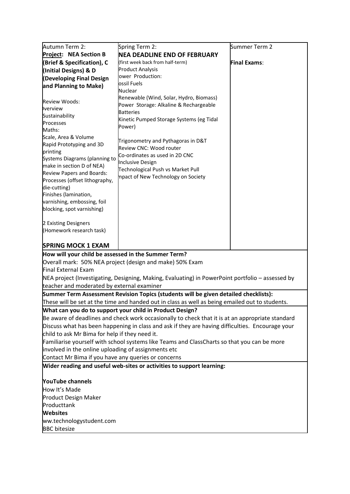| Autumn Term 2:                                                                                  | Spring Term 2:                                                                                   | Summer Term 2       |  |
|-------------------------------------------------------------------------------------------------|--------------------------------------------------------------------------------------------------|---------------------|--|
| Project: NEA Section B                                                                          | <b>NEA DEADLINE END OF FEBRUARY</b>                                                              |                     |  |
| (Brief & Specification), C                                                                      | (first week back from half-term)                                                                 | <b>Final Exams:</b> |  |
| (Initial Designs) & D                                                                           | <b>Product Analysis</b>                                                                          |                     |  |
| (Developing Final Design                                                                        | ower Production:                                                                                 |                     |  |
| and Planning to Make)                                                                           | ossil Fuels                                                                                      |                     |  |
|                                                                                                 | Nuclear                                                                                          |                     |  |
| <b>Review Woods:</b>                                                                            | Renewable (Wind, Solar, Hydro, Biomass)                                                          |                     |  |
| <b>Iverview</b>                                                                                 | Power Storage: Alkaline & Rechargeable                                                           |                     |  |
| Sustainability                                                                                  | <b>Batteries</b>                                                                                 |                     |  |
| Processes                                                                                       | Kinetic Pumped Storage Systems (eg Tidal<br>Power)                                               |                     |  |
| Maths:                                                                                          |                                                                                                  |                     |  |
| Scale, Area & Volume                                                                            | Trigonometry and Pythagoras in D&T                                                               |                     |  |
| Rapid Prototyping and 3D                                                                        | Review CNC: Wood router                                                                          |                     |  |
| printing                                                                                        | Co-ordinates as used in 2D CNC                                                                   |                     |  |
| Systems Diagrams (planning to                                                                   | <b>Inclusive Design</b>                                                                          |                     |  |
| make in section D of NEA)                                                                       | Technological Push vs Market Pull                                                                |                     |  |
| Review Papers and Boards:                                                                       | mpact of New Technology on Society                                                               |                     |  |
| Processes (offset lithography,<br>die-cutting)                                                  |                                                                                                  |                     |  |
| Finishes (lamination,                                                                           |                                                                                                  |                     |  |
| varnishing, embossing, foil                                                                     |                                                                                                  |                     |  |
| blocking, spot varnishing)                                                                      |                                                                                                  |                     |  |
|                                                                                                 |                                                                                                  |                     |  |
| 2 Existing Designers                                                                            |                                                                                                  |                     |  |
| (Homework research task)                                                                        |                                                                                                  |                     |  |
|                                                                                                 |                                                                                                  |                     |  |
| <b>SPRING MOCK 1 EXAM</b>                                                                       |                                                                                                  |                     |  |
| How will your child be assessed in the Summer Term?                                             |                                                                                                  |                     |  |
|                                                                                                 | Overall mark: 50% NEA project (design and make) 50% Exam                                         |                     |  |
| Final External Exam                                                                             |                                                                                                  |                     |  |
|                                                                                                 | NEA project (Investigating, Designing, Making, Evaluating) in PowerPoint portfolio - assessed by |                     |  |
| teacher and moderated by external examiner                                                      |                                                                                                  |                     |  |
|                                                                                                 | Summer Term Assessment Revision Topics (students will be given detailed checklists):             |                     |  |
| These will be set at the time and handed out in class as well as being emailed out to students. |                                                                                                  |                     |  |
|                                                                                                 | What can you do to support your child in Product Design?                                         |                     |  |
|                                                                                                 | Be aware of deadlines and check work occasionally to check that it is at an appropriate standard |                     |  |
|                                                                                                 | Discuss what has been happening in class and ask if they are having difficulties. Encourage your |                     |  |
| child to ask Mr Bima for help if they need it.                                                  |                                                                                                  |                     |  |
| Familiarise yourself with school systems like Teams and ClassCharts so that you can be more     |                                                                                                  |                     |  |
| involved in the online uploading of assignments etc                                             |                                                                                                  |                     |  |
| Contact Mr Bima if you have any queries or concerns                                             |                                                                                                  |                     |  |
|                                                                                                 | Wider reading and useful web-sites or activities to support learning:                            |                     |  |
|                                                                                                 |                                                                                                  |                     |  |
| <b>YouTube channels</b>                                                                         |                                                                                                  |                     |  |
| How It's Made                                                                                   |                                                                                                  |                     |  |
| <b>Product Design Maker</b>                                                                     |                                                                                                  |                     |  |
| Producttank                                                                                     |                                                                                                  |                     |  |
| <b>Websites</b>                                                                                 |                                                                                                  |                     |  |
| ww.technologystudent.com                                                                        |                                                                                                  |                     |  |
| <b>BBC</b> bitesize                                                                             |                                                                                                  |                     |  |
|                                                                                                 |                                                                                                  |                     |  |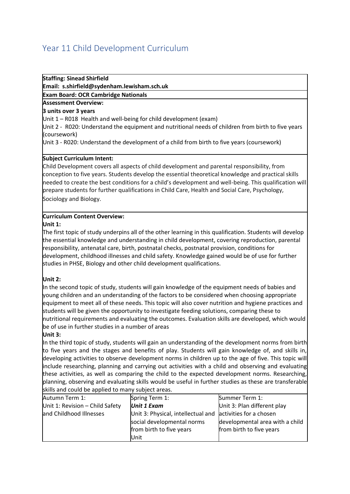## <span id="page-45-0"></span>Year 11 Child Development Curriculum

#### **Staffing: Sinead Shirfield**

**Email: s.shirfield@sydenham.lewisham.sch.uk**

**Exam Board: OCR Cambridge Nationals**

#### **Assessment Overview:**

#### **3 units over 3 years**

Unit 1 – R018 Health and well-being for child development (exam)

Unit 2 - R020: Understand the equipment and nutritional needs of children from birth to five years (coursework)

Unit 3 - R020: Understand the development of a child from birth to five years (coursework)

#### **Subject Curriculum Intent:**

Child Development covers all aspects of child development and parental responsibility, from conception to five years. Students develop the essential theoretical knowledge and practical skills needed to create the best conditions for a child's development and well-being. This qualification will prepare students for further qualifications in Child Care, Health and Social Care, Psychology, Sociology and Biology.

#### **Curriculum Content Overview:**

#### **Unit 1:**

The first topic of study underpins all of the other learning in this qualification. Students will develop the essential knowledge and understanding in child development, covering reproduction, parental responsibility, antenatal care, birth, postnatal checks, postnatal provision, conditions for development, childhood illnesses and child safety. Knowledge gained would be of use for further studies in PHSE, Biology and other child development qualifications.

#### **Unit 2:**

In the second topic of study, students will gain knowledge of the equipment needs of babies and young children and an understanding of the factors to be considered when choosing appropriate equipment to meet all of these needs. This topic will also cover nutrition and hygiene practices and students will be given the opportunity to investigate feeding solutions, comparing these to nutritional requirements and evaluating the outcomes. Evaluation skills are developed, which would be of use in further studies in a number of areas

#### **Unit 3:**

In the third topic of study, students will gain an understanding of the development norms from birth to five years and the stages and benefits of play. Students will gain knowledge of, and skills in, developing activities to observe development norms in children up to the age of five. This topic will include researching, planning and carrying out activities with a child and observing and evaluating these activities, as well as comparing the child to the expected development norms. Researching, planning, observing and evaluating skills would be useful in further studies as these are transferable skills and could be applied to many subject areas.

| Autumn Term 1:                  | Spring Term 1:                                             | Summer Term 1:                  |
|---------------------------------|------------------------------------------------------------|---------------------------------|
| Unit 1: Revision - Child Safety | <b>Unit 1 Exam</b>                                         | Unit 3: Plan different play     |
| and Childhood Illnesses         | Unit 3: Physical, intellectual and activities for a chosen |                                 |
|                                 | social developmental norms                                 | developmental area with a child |
|                                 | from birth to five years                                   | from birth to five years        |
|                                 | <b>Unit</b>                                                |                                 |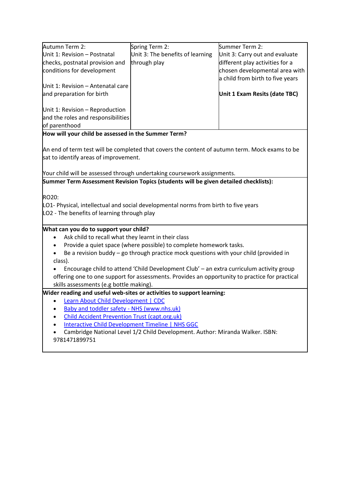| Spring Term 2:                   | Summer Term 2:                                                                                             |
|----------------------------------|------------------------------------------------------------------------------------------------------------|
| Unit 3: The benefits of learning | Unit 3: Carry out and evaluate                                                                             |
| through play                     | different play activities for a                                                                            |
|                                  | chosen developmental area with                                                                             |
|                                  | a child from birth to five years                                                                           |
|                                  |                                                                                                            |
|                                  | Unit 1 Exam Resits (date TBC)                                                                              |
|                                  |                                                                                                            |
|                                  |                                                                                                            |
|                                  |                                                                                                            |
|                                  | Unit 1: Revision - Antenatal care<br>Unit 1: Revision - Reproduction<br>and the roles and responsibilities |

**How will your child be assessed in the Summer Term?**

An end of term test will be completed that covers the content of autumn term. Mock exams to be sat to identify areas of improvement.

Your child will be assessed through undertaking coursework assignments.

**Summer Term Assessment Revision Topics (students will be given detailed checklists):**

RO20:

LO1- Physical, intellectual and social developmental norms from birth to five years

LO2 - The benefits of learning through play

#### **What can you do to support your child?**

- Ask child to recall what they learnt in their class
- Provide a quiet space (where possible) to complete homework tasks.
- Be a revision buddy go through practice mock questions with your child (provided in class).

• Encourage child to attend 'Child Development Club' – an extra curriculum activity group offering one to one support for assessments. Provides an opportunity to practice for practical skills assessments (e.g bottle making).

#### **Wider reading and useful web-sites or activities to support learning:**

- [Learn About Child Development | CDC](https://www.cdc.gov/ncbddd/childdevelopment/index.html)
- [Baby and toddler safety -](https://www.nhs.uk/conditions/baby/first-aid-and-safety/safety/baby-and-toddler-safety/) NHS (www.nhs.uk)
- [Child Accident Prevention Trust \(capt.org.uk\)](https://www.capt.org.uk/)
- [Interactive Child Development Timeline | NHS GGC](https://www.nhsggc.org.uk/kids/child-development/interactive-child-development-timeline/)
- Cambridge National Level 1/2 Child Development. Author: Miranda Walker. ISBN: 9781471899751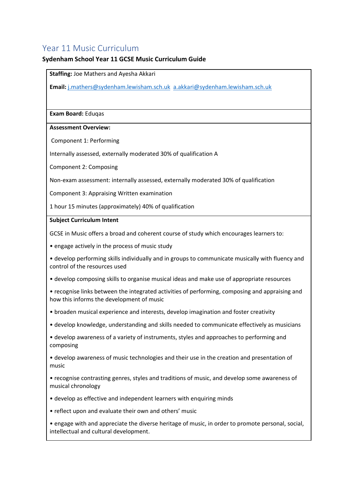## <span id="page-47-0"></span>Year 11 Music Curriculum

#### **Sydenham School Year 11 GCSE Music Curriculum Guide**

**Staffing:** Joe Mathers and Ayesha Akkari

**Email:** [j.mathers@sydenham.lewisham.sch.uk](mailto:a.fullilove@sydenham.lewisham.sch.uk) [a.akkari@sydenham.lewisham.sch.uk](mailto:a.akkari@sydenham.lewisham.sch.uk)

**Exam Board:** Eduqas

#### **Assessment Overview:**

Component 1: Performing

Internally assessed, externally moderated 30% of qualification A

Component 2: Composing

Non-exam assessment: internally assessed, externally moderated 30% of qualification

Component 3: Appraising Written examination

1 hour 15 minutes (approximately) 40% of qualification

#### **Subject Curriculum Intent**

GCSE in Music offers a broad and coherent course of study which encourages learners to:

- engage actively in the process of music study
- develop performing skills individually and in groups to communicate musically with fluency and control of the resources used
- develop composing skills to organise musical ideas and make use of appropriate resources
- recognise links between the integrated activities of performing, composing and appraising and how this informs the development of music
- broaden musical experience and interests, develop imagination and foster creativity
- develop knowledge, understanding and skills needed to communicate effectively as musicians
- develop awareness of a variety of instruments, styles and approaches to performing and composing
- develop awareness of music technologies and their use in the creation and presentation of music
- recognise contrasting genres, styles and traditions of music, and develop some awareness of musical chronology
- develop as effective and independent learners with enquiring minds
- reflect upon and evaluate their own and others' music
- engage with and appreciate the diverse heritage of music, in order to promote personal, social, intellectual and cultural development.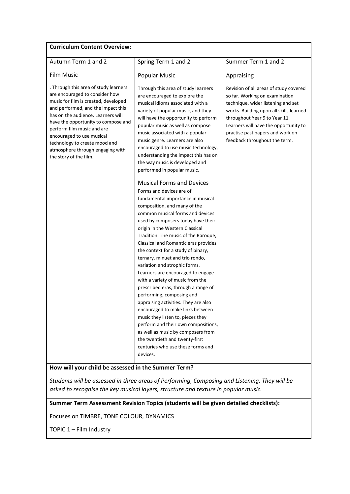| <b>Curriculum Content Overview:</b>                                                                                                                                                                                                                                                                                                                                                          |                                                                                                                                                                                                                                                                                                                                                                                                                                                                                                                                                                                                                                                                                                                                                                                                                                                                                                                                                                                                                                                                                                                                                                                                                                                                                                                           |                                                                                                                                                                                                                                                                                                          |
|----------------------------------------------------------------------------------------------------------------------------------------------------------------------------------------------------------------------------------------------------------------------------------------------------------------------------------------------------------------------------------------------|---------------------------------------------------------------------------------------------------------------------------------------------------------------------------------------------------------------------------------------------------------------------------------------------------------------------------------------------------------------------------------------------------------------------------------------------------------------------------------------------------------------------------------------------------------------------------------------------------------------------------------------------------------------------------------------------------------------------------------------------------------------------------------------------------------------------------------------------------------------------------------------------------------------------------------------------------------------------------------------------------------------------------------------------------------------------------------------------------------------------------------------------------------------------------------------------------------------------------------------------------------------------------------------------------------------------------|----------------------------------------------------------------------------------------------------------------------------------------------------------------------------------------------------------------------------------------------------------------------------------------------------------|
| Autumn Term 1 and 2                                                                                                                                                                                                                                                                                                                                                                          | Spring Term 1 and 2                                                                                                                                                                                                                                                                                                                                                                                                                                                                                                                                                                                                                                                                                                                                                                                                                                                                                                                                                                                                                                                                                                                                                                                                                                                                                                       | Summer Term 1 and 2                                                                                                                                                                                                                                                                                      |
| <b>Film Music</b>                                                                                                                                                                                                                                                                                                                                                                            | <b>Popular Music</b>                                                                                                                                                                                                                                                                                                                                                                                                                                                                                                                                                                                                                                                                                                                                                                                                                                                                                                                                                                                                                                                                                                                                                                                                                                                                                                      | Appraising                                                                                                                                                                                                                                                                                               |
| . Through this area of study learners<br>are encouraged to consider how<br>music for film is created, developed<br>and performed, and the impact this<br>has on the audience. Learners will<br>have the opportunity to compose and<br>perform film music and are<br>encouraged to use musical<br>technology to create mood and<br>atmosphere through engaging with<br>the story of the film. | Through this area of study learners<br>are encouraged to explore the<br>musical idioms associated with a<br>variety of popular music, and they<br>will have the opportunity to perform<br>popular music as well as compose<br>music associated with a popular<br>music genre. Learners are also<br>encouraged to use music technology,<br>understanding the impact this has on<br>the way music is developed and<br>performed in popular music.<br><b>Musical Forms and Devices</b><br>Forms and devices are of<br>fundamental importance in musical<br>composition, and many of the<br>common musical forms and devices<br>used by composers today have their<br>origin in the Western Classical<br>Tradition. The music of the Baroque,<br>Classical and Romantic eras provides<br>the context for a study of binary,<br>ternary, minuet and trio rondo,<br>variation and strophic forms.<br>Learners are encouraged to engage<br>with a variety of music from the<br>prescribed eras, through a range of<br>performing, composing and<br>appraising activities. They are also<br>encouraged to make links between<br>music they listen to, pieces they<br>perform and their own compositions,<br>as well as music by composers from<br>the twentieth and twenty-first<br>centuries who use these forms and<br>devices. | Revision of all areas of study covered<br>so far. Working on examination<br>technique, wider listening and set<br>works. Building upon all skills learned<br>throughout Year 9 to Year 11.<br>Learners will have the opportunity to<br>practise past papers and work on<br>feedback throughout the term. |
|                                                                                                                                                                                                                                                                                                                                                                                              |                                                                                                                                                                                                                                                                                                                                                                                                                                                                                                                                                                                                                                                                                                                                                                                                                                                                                                                                                                                                                                                                                                                                                                                                                                                                                                                           |                                                                                                                                                                                                                                                                                                          |

**How will your child be assessed in the Summer Term?**

*Students will be assessed in three areas of Performing, Composing and Listening. They will be asked to recognise the key musical layers, structure and texture in popular music.*

**Summer Term Assessment Revision Topics (students will be given detailed checklists):** 

Focuses on TIMBRE, TONE COLOUR, DYNAMICS

TOPIC 1 – Film Industry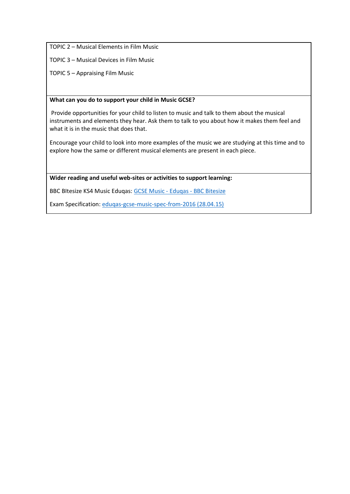TOPIC 2 – Musical Elements in Film Music

TOPIC 3 – Musical Devices in Film Music

TOPIC 5 – Appraising Film Music

#### **What can you do to support your child in Music GCSE?**

Provide opportunities for your child to listen to music and talk to them about the musical instruments and elements they hear. Ask them to talk to you about how it makes them feel and what it is in the music that does that.

Encourage your child to look into more examples of the music we are studying at this time and to explore how the same or different musical elements are present in each piece.

**Wider reading and useful web-sites or activities to support learning:** 

BBC BItesize KS4 Music Eduqas[: GCSE Music -](https://www.bbc.co.uk/bitesize/examspecs/zbmct39) Eduqas - BBC Bitesize

Exam Specification[: eduqas-gcse-music-spec-from-2016 \(28.04.15\)](https://www.eduqas.co.uk/media/by5boopf/eduqas-gcse-music-spec-from-2016-d.pdf)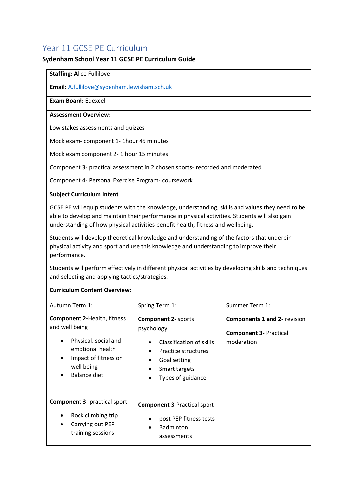## <span id="page-50-0"></span>Year 11 GCSE PE Curriculum

#### **Sydenham School Year 11 GCSE PE Curriculum Guide**

#### **Staffing: A**lice Fullilove

**Email:** [A.fullilove@sydenham.lewisham.sch.uk](mailto:A.fullilove@sydenham.lewisham.sch.uk)

#### **Exam Board:** Edexcel

#### **Assessment Overview:**

Low stakes assessments and quizzes

Mock exam- component 1- 1hour 45 minutes

Mock exam component 2- 1 hour 15 minutes

Component 3- practical assessment in 2 chosen sports- recorded and moderated

Component 4- Personal Exercise Program- coursework

#### **Subject Curriculum Intent**

GCSE PE will equip students with the knowledge, understanding, skills and values they need to be able to develop and maintain their performance in physical activities. Students will also gain understanding of how physical activities benefit health, fitness and wellbeing.

Students will develop theoretical knowledge and understanding of the factors that underpin physical activity and sport and use this knowledge and understanding to improve their performance.

Students will perform effectively in different physical activities by developing skills and techniques and selecting and applying tactics/strategies.

#### **Curriculum Content Overview:**

| Autumn Term 1:                                                                                                                                                      | Spring Term 1:                                                                                                                                    | Summer Term 1:                                                                     |
|---------------------------------------------------------------------------------------------------------------------------------------------------------------------|---------------------------------------------------------------------------------------------------------------------------------------------------|------------------------------------------------------------------------------------|
| <b>Component 2-Health, fitness</b><br>and well being<br>Physical, social and<br>emotional health<br>Impact of fitness on<br>$\bullet$<br>well being<br>Balance diet | <b>Component 2- sports</b><br>psychology<br>Classification of skills<br>Practice structures<br>Goal setting<br>Smart targets<br>Types of guidance | <b>Components 1 and 2- revision</b><br><b>Component 3- Practical</b><br>moderation |
| <b>Component 3- practical sport</b><br>Rock climbing trip<br>٠<br>Carrying out PEP<br>٠<br>training sessions                                                        | <b>Component 3-Practical sport-</b><br>post PEP fitness tests<br><b>Badminton</b><br>$\bullet$<br>assessments                                     |                                                                                    |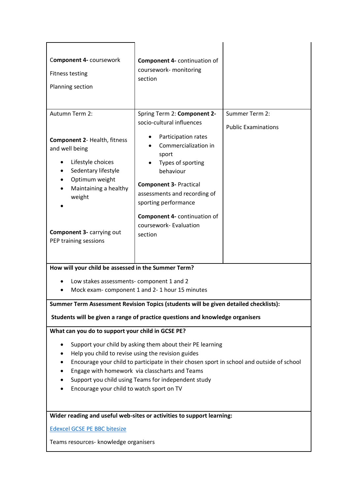| Component 4- coursework<br><b>Fitness testing</b><br>Planning section                                                                                                                                                                                                                                                                                                                                                   | <b>Component 4- continuation of</b><br>coursework- monitoring<br>section                                                                                                                                                                                                                                         |                                              |  |  |
|-------------------------------------------------------------------------------------------------------------------------------------------------------------------------------------------------------------------------------------------------------------------------------------------------------------------------------------------------------------------------------------------------------------------------|------------------------------------------------------------------------------------------------------------------------------------------------------------------------------------------------------------------------------------------------------------------------------------------------------------------|----------------------------------------------|--|--|
| Autumn Term 2:<br><b>Component 2- Health, fitness</b><br>and well being<br>Lifestyle choices<br>Sedentary lifestyle<br>Optimum weight<br>Maintaining a healthy<br>weight<br>Component 3- carrying out<br>PEP training sessions                                                                                                                                                                                          | Spring Term 2: Component 2-<br>socio-cultural influences<br>Participation rates<br>Commercialization in<br>sport<br>Types of sporting<br>behaviour<br><b>Component 3- Practical</b><br>assessments and recording of<br>sporting performance<br>Component 4- continuation of<br>coursework- Evaluation<br>section | Summer Term 2:<br><b>Public Examinations</b> |  |  |
| How will your child be assessed in the Summer Term?<br>Low stakes assessments- component 1 and 2<br>Mock exam- component 1 and 2-1 hour 15 minutes<br>Summer Term Assessment Revision Topics (students will be given detailed checklists):<br>Students will be given a range of practice questions and knowledge organisers                                                                                             |                                                                                                                                                                                                                                                                                                                  |                                              |  |  |
| What can you do to support your child in GCSE PE?<br>Support your child by asking them about their PE learning<br>Help you child to revise using the revision guides<br>Encourage your child to participate in their chosen sport in school and outside of school<br>Engage with homework via classcharts and Teams<br>Support you child using Teams for independent study<br>Encourage your child to watch sport on TV |                                                                                                                                                                                                                                                                                                                  |                                              |  |  |
| Wider reading and useful web-sites or activities to support learning:<br><b>Edexcel GCSE PE BBC bitesize</b><br>Teams resources- knowledge organisers                                                                                                                                                                                                                                                                   |                                                                                                                                                                                                                                                                                                                  |                                              |  |  |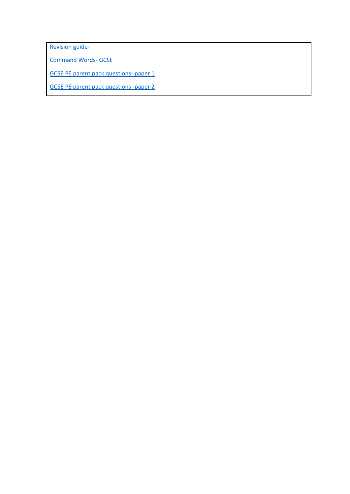[Revision guide-](file://///syd-file/staffhome$/a.fullilove/Documents/Sydenham%20School-PE%20Curriculum%20Key%20Documents/Curriculum%20intent%20documents/mazon.co.uk/Revise-Edexcel-Physical-Education-Revision/dp/1292135123/ref=asc_df_1292135123/)

[Command Words-](https://ukc-word-edit.officeapps.live.com/Edexcel/Command%20Words-%20GCSE%20and%20BTEC.docx) GCSE

[GCSE PE parent pack questions-](https://ukc-word-edit.officeapps.live.com/Parent%20Pack/GCSE%20PE%20parent%20pack%20questions-%20paper%201.docx) paper 1

[GCSE PE parent pack questions-](https://ukc-word-edit.officeapps.live.com/Parent%20Pack/GCSE%20PE%20parent%20pack%20questions-%20paper%202.docx) paper 2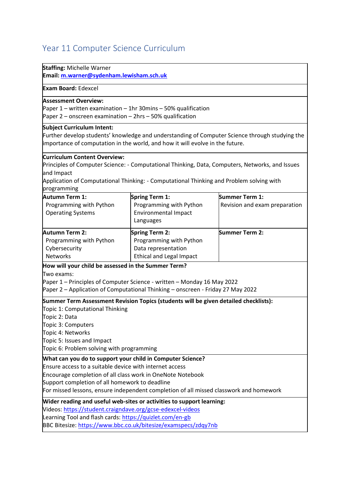# <span id="page-53-0"></span>Year 11 Computer Science Curriculum

| <b>Staffing: Michelle Warner</b><br>Email: m.warner@sydenham.lewisham.sch.uk                                                                                                                                                                                                                                                                                                                                           |                                                                                                            |                                                 |  |  |
|------------------------------------------------------------------------------------------------------------------------------------------------------------------------------------------------------------------------------------------------------------------------------------------------------------------------------------------------------------------------------------------------------------------------|------------------------------------------------------------------------------------------------------------|-------------------------------------------------|--|--|
| <b>Exam Board: Edexcel</b>                                                                                                                                                                                                                                                                                                                                                                                             |                                                                                                            |                                                 |  |  |
| <b>Assessment Overview:</b><br>Paper 1 – written examination – 1hr 30mins – 50% qualification<br>Paper $2$ – onscreen examination – 2hrs – 50% qualification                                                                                                                                                                                                                                                           |                                                                                                            |                                                 |  |  |
| <b>Subject Curriculum Intent:</b><br>Further develop students' knowledge and understanding of Computer Science through studying the<br>importance of computation in the world, and how it will evolve in the future.                                                                                                                                                                                                   |                                                                                                            |                                                 |  |  |
| <b>Curriculum Content Overview:</b><br>Principles of Computer Science: - Computational Thinking, Data, Computers, Networks, and Issues<br>and Impact<br>Application of Computational Thinking: - Computational Thinking and Problem solving with<br>programming                                                                                                                                                        |                                                                                                            |                                                 |  |  |
| <b>Autumn Term 1:</b><br>Programming with Python<br><b>Operating Systems</b>                                                                                                                                                                                                                                                                                                                                           | <b>Spring Term 1:</b><br>Programming with Python<br><b>Environmental Impact</b><br>Languages               | Summer Term 1:<br>Revision and exam preparation |  |  |
| <b>Autumn Term 2:</b><br>Programming with Python<br>Cybersecurity<br><b>Networks</b>                                                                                                                                                                                                                                                                                                                                   | <b>Spring Term 2:</b><br>Programming with Python<br>Data representation<br><b>Ethical and Legal Impact</b> | Summer Term 2:                                  |  |  |
| How will your child be assessed in the Summer Term?<br>Two exams:<br>Paper 1 – Principles of Computer Science - written – Monday 16 May 2022<br>Paper 2 - Application of Computational Thinking - onscreen - Friday 27 May 2022<br>Summer Term Assessment Revision Topics (students will be given detailed checklists):<br>Topic 1: Computational Thinking<br>Topic 2: Data<br>Topic 3: Computers<br>Topic 4: Networks |                                                                                                            |                                                 |  |  |
| Topic 5: Issues and Impact<br>Topic 6: Problem solving with programming                                                                                                                                                                                                                                                                                                                                                |                                                                                                            |                                                 |  |  |
| What can you do to support your child in Computer Science?<br>Ensure access to a suitable device with internet access<br>Encourage completion of all class work in OneNote Notebook<br>Support completion of all homework to deadline<br>For missed lessons, ensure independent completion of all missed classwork and homework                                                                                        |                                                                                                            |                                                 |  |  |
| Wider reading and useful web-sites or activities to support learning:<br>Videos: https://student.craigndave.org/gcse-edexcel-videos<br>Learning Tool and flash cards: https://quizlet.com/en-gb<br>BBC Bitesize: https://www.bbc.co.uk/bitesize/examspecs/zdqy7nb                                                                                                                                                      |                                                                                                            |                                                 |  |  |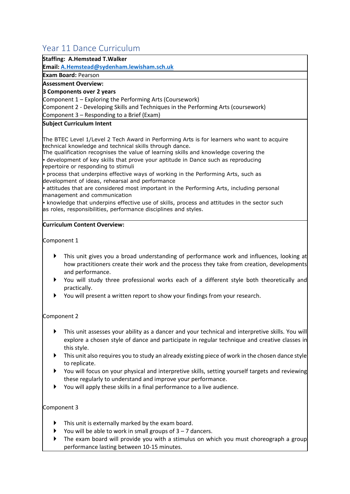## <span id="page-54-0"></span>Year 11 Dance Curriculum

#### **Staffing: A.Hemstead T.Walker**

**Email[: A.Hemstead@sydenham.lewisham.sch.uk](mailto:A.Hemstead@sydenham.lewisham.sch.uk)**

**Exam Board:** Pearson

**Assessment Overview:**

#### **3 Components over 2 years**

Component 1 – Exploring the Performing Arts (Coursework)

Component 2 - Developing Skills and Techniques in the Performing Arts (coursework)

Component 3 – Responding to a Brief (Exam)

#### **Subject Curriculum Intent**

The BTEC Level 1/Level 2 Tech Award in Performing Arts is for learners who want to acquire technical knowledge and technical skills through dance.

The qualification recognises the value of learning skills and knowledge covering the • development of key skills that prove your aptitude in Dance such as reproducing repertoire or responding to stimuli

• process that underpins effective ways of working in the Performing Arts, such as development of ideas, rehearsal and performance

• attitudes that are considered most important in the Performing Arts, including personal management and communication

• knowledge that underpins effective use of skills, process and attitudes in the sector such as roles, responsibilities, performance disciplines and styles.

#### **Curriculum Content Overview:**

Component 1

- This unit gives you a broad understanding of performance work and influences, looking at how practitioners create their work and the process they take from creation, developments and performance.
- You will study three professional works each of a different style both theoretically and practically.
- You will present a written report to show your findings from your research.

#### Component 2

- This unit assesses your ability as a dancer and your technical and interpretive skills. You will explore a chosen style of dance and participate in regular technique and creative classes in this style.
- **This unit also requires you to study an already existing piece of work in the chosen dance style** to replicate.
- You will focus on your physical and interpretive skills, setting yourself targets and reviewing these regularly to understand and improve your performance.
- You will apply these skills in a final performance to a live audience.

#### Component 3

- This unit is externally marked by the exam board.
- You will be able to work in small groups of  $3 7$  dancers.
- The exam board will provide you with a stimulus on which you must choreograph a group performance lasting between 10-15 minutes.